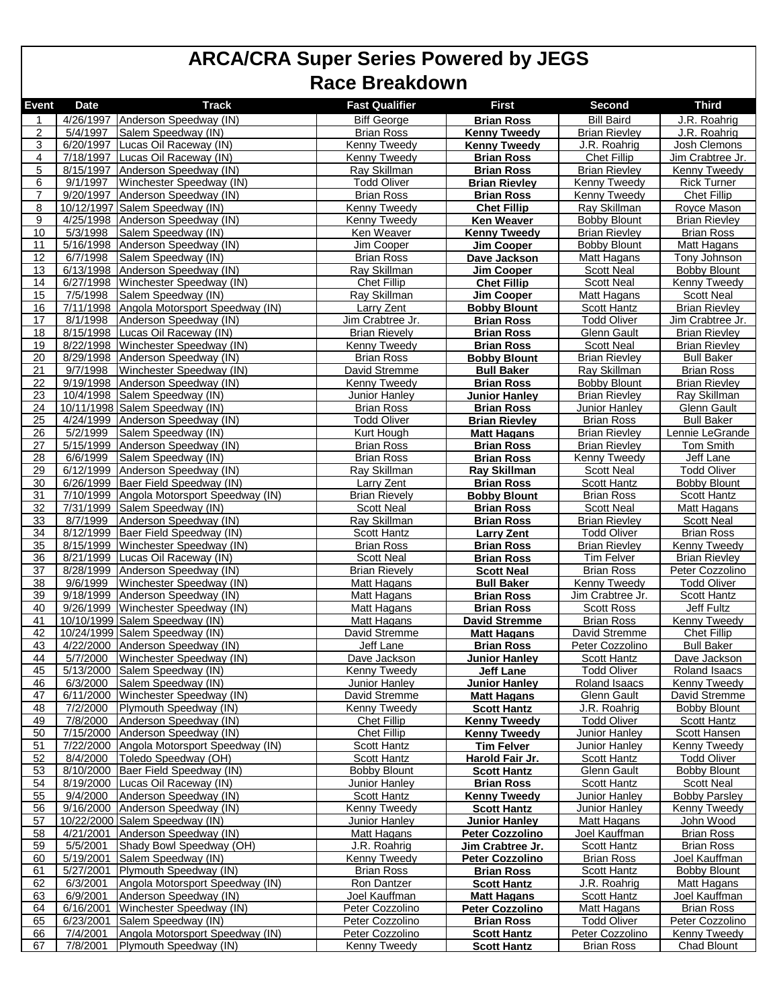| <b>Event</b> | <b>Date</b>            | <b>Track</b>                                              | <b>Fast Qualifier</b>                     | <b>First</b>                                | <b>Second</b>                               | <b>Third</b>                            |
|--------------|------------------------|-----------------------------------------------------------|-------------------------------------------|---------------------------------------------|---------------------------------------------|-----------------------------------------|
| 1            |                        | 4/26/1997 Anderson Speedway (IN)                          | <b>Biff George</b>                        | <b>Brian Ross</b>                           | <b>Bill Baird</b>                           | J.R. Roahrig                            |
| 2            | 5/4/1997               | Salem Speedway (IN)                                       | <b>Brian Ross</b>                         | <b>Kenny Tweedy</b>                         | <b>Brian Rievley</b>                        | J.R. Roahrig                            |
| 3            | 6/20/1997              | Lucas Oil Raceway (IN)                                    | Kenny Tweedy                              | <b>Kenny Tweedy</b>                         | J.R. Roahrig                                | Josh Clemons                            |
| 4            | 7/18/1997              | Lucas Oil Raceway (IN)                                    | Kenny Tweedy                              | <b>Brian Ross</b>                           | Chet Fillip                                 | Jim Crabtree Jr.                        |
| 5            |                        | 8/15/1997 Anderson Speedway (IN)                          | Ray Skillman                              | <b>Brian Ross</b>                           | <b>Brian Rievley</b>                        | <b>Kenny Tweedy</b>                     |
| 6            | $\overline{9}/1/1997$  | Winchester Speedway (IN)                                  | <b>Todd Oliver</b>                        | <b>Brian Rievley</b>                        | Kenny Tweedy                                | <b>Rick Turner</b>                      |
| 7            | 9/20/1997              | Anderson Speedway (IN)                                    | <b>Brian Ross</b>                         | <b>Brian Ross</b>                           | Kenny Tweedy                                | <b>Chet Fillip</b>                      |
| 8            |                        | 10/12/1997 Salem Speedway (IN)                            | <b>Kenny Tweedy</b>                       | <b>Chet Fillip</b>                          | Ray Skillman                                | Royce Mason                             |
| 9<br>10      | 4/25/1998<br>5/3/1998  | Anderson Speedway (IN)<br>Salem Speedway (IN)             | Kenny Tweedy                              | <b>Ken Weaver</b>                           | <b>Bobby Blount</b>                         | Brian Rievley                           |
| 11           | $\overline{5/16/1998}$ | Anderson Speedway (IN)                                    | Ken Weaver<br>Jim Cooper                  | <b>Kenny Tweedy</b><br>Jim Cooper           | <b>Brian Rievley</b><br><b>Bobby Blount</b> | <b>Brian Ross</b><br>Matt Hagans        |
| 12           | 6/7/1998               | Salem Speedway (IN)                                       | <b>Brian Ross</b>                         | Dave Jackson                                | Matt Hagans                                 | Tony Johnson                            |
| 13           |                        | 6/13/1998 Anderson Speedway (IN)                          | Ray Skillman                              | Jim Cooper                                  | <b>Scott Neal</b>                           | <b>Bobby Blount</b>                     |
| 14           | $\sqrt{6}/27/1998$     | Winchester Speedway (IN)                                  | <b>Chet Fillip</b>                        | <b>Chet Fillip</b>                          | <b>Scott Neal</b>                           | Kenny Tweedy                            |
| 15           | $\frac{1}{7}{5/1998}$  | Salem Speedway (IN)                                       | Ray Skillman                              | Jim Cooper                                  | Matt Hagans                                 | <b>Scott Neal</b>                       |
| 16           | 7/11/1998              | Angola Motorsport Speedway (IN)                           | Larry Zent                                | <b>Bobby Blount</b>                         | <b>Scott Hantz</b>                          | <b>Brian Rievley</b>                    |
| 17           | 8/1/1998               | Anderson Speedway (IN)                                    | Jim Crabtree Jr.                          | <b>Brian Ross</b>                           | <b>Todd Oliver</b>                          | Jim Crabtree Jr.                        |
| 18           | 8/15/1998              | Lucas Oil Raceway (IN)                                    | <b>Brian Rievely</b>                      | <b>Brian Ross</b>                           | <b>Glenn Gault</b>                          | <b>Brian Rievley</b>                    |
| 19           | 8/22/1998              | Winchester Speedway (IN)                                  | Kenny Tweedy                              | <b>Brian Ross</b>                           | Scott Neal                                  | <b>Brian Rievley</b>                    |
| 20           | 8/29/1998              | Anderson Speedway (IN)                                    | <b>Brian Ross</b>                         | <b>Bobby Blount</b>                         | <b>Brian Rievley</b>                        | <b>Bull Baker</b>                       |
| 21           | 9/7/1998               | Winchester Speedway (IN)                                  | David Stremme                             | <b>Bull Baker</b>                           | Ray Skillman                                | <b>Brian Ross</b>                       |
| 22           | $\frac{9}{19/1998}$    | Anderson Speedway (IN)                                    | Kenny Tweedy                              | <b>Brian Ross</b>                           | <b>Bobby Blount</b>                         | <b>Brian Rievley</b>                    |
| 23<br>24     | 10/4/1998              | Salem Speedway (IN)<br>10/11/1998 Salem Speedway (IN)     | <b>Junior Hanley</b><br><b>Brian Ross</b> | <b>Junior Hanley</b><br><b>Brian Ross</b>   | <b>Brian Rievley</b><br>Junior Hanley       | Ray Skillman<br><b>Glenn Gault</b>      |
| 25           |                        | 4/24/1999 Anderson Speedway (IN)                          | <b>Todd Oliver</b>                        | <b>Brian Rievley</b>                        | <b>Brian Ross</b>                           | <b>Bull Baker</b>                       |
| 26           | $\frac{1}{5/2/1999}$   | Salem Speedway (IN)                                       | Kurt Hough                                | <b>Matt Hagans</b>                          | <b>Brian Rievley</b>                        | Lennie LeGrande                         |
| 27           | 5/15/1999              | Anderson Speedway (IN)                                    | <b>Brian Ross</b>                         | <b>Brian Ross</b>                           | <b>Brian Rievley</b>                        | Tom Smith                               |
| 28           | 6/6/1999               | Salem Speedway (IN)                                       | <b>Brian Ross</b>                         | <b>Brian Ross</b>                           | Kenny Tweedy                                | Jeff Lane                               |
| 29           | 6/12/1999              | Anderson Speedway (IN)                                    | Ray Skillman                              | <b>Ray Skillman</b>                         | <b>Scott Neal</b>                           | Todd Oliver                             |
| 30           |                        | 6/26/1999 Baer Field Speedway (IN)                        | Larry Zent                                | <b>Brian Ross</b>                           | <b>Scott Hantz</b>                          | Bobby Blount                            |
| 31           | 7/10/1999              | Angola Motorsport Speedway (IN)                           | <b>Brian Rievely</b>                      | <b>Bobby Blount</b>                         | <b>Brian Ross</b>                           | Scott Hantz                             |
| 32           | 7/31/1999              | Salem Speedway (IN)                                       | <b>Scott Neal</b>                         | <b>Brian Ross</b>                           | Scott Neal                                  | Matt Hagans                             |
| 33           | 8/7/1999               | Anderson Speedway (IN)                                    | Ray Skillman                              | <b>Brian Ross</b>                           | <b>Brian Rievley</b>                        | <b>Scott Neal</b>                       |
| 34           | 8/12/1999              | Baer Field Speedway (IN)                                  | <b>Scott Hantz</b>                        | <b>Larry Zent</b>                           | <b>Todd Oliver</b>                          | <b>Brian Ross</b>                       |
| 35           | 8/15/1999<br>8/21/1999 | Winchester Speedway (IN)                                  | <b>Brian Ross</b><br>Scott Neal           | <b>Brian Ross</b>                           | <b>Brian Rievley</b>                        | Kenny Tweedy                            |
| 36<br>37     | 8/28/1999              | Lucas Oil Raceway (IN)<br>Anderson Speedway (IN)          | <b>Brian Rievely</b>                      | <b>Brian Ross</b><br><b>Scott Neal</b>      | <b>Tim Felver</b><br><b>Brian Ross</b>      | <b>Brian Rievley</b><br>Peter Cozzolino |
| 38           | 9/6/1999               | Winchester Speedway (IN)                                  | Matt Hagans                               | <b>Bull Baker</b>                           | Kenny Tweedy                                | Todd Oliver                             |
| 39           | 9/18/1999              | Anderson Speedway (IN)                                    | Matt Hagans                               | <b>Brian Ross</b>                           | Jim Crabtree Jr.                            | Scott Hantz                             |
| 40           | 9/26/1999              | Winchester Speedway (IN)                                  | Matt Hagans                               | <b>Brian Ross</b>                           | Scott Ross                                  | Jeff Fultz                              |
| 41           |                        | 10/10/1999 Salem Speedway (IN)                            | Matt Hagans                               | <b>David Stremme</b>                        | <b>Brian Ross</b>                           | <b>Kenny Tweedy</b>                     |
| 42           |                        | 10/24/1999 Salem Speedway (IN)                            | David Stremme                             | <b>Matt Hagans</b>                          | David Stremme                               | <b>Chet Fillip</b>                      |
| 43           |                        | 4/22/2000 Anderson Speedway (IN)                          | Jeff Lane                                 | <b>Brian Ross</b>                           | Peter Cozzolino                             | <b>Bull Baker</b>                       |
| 44           |                        | 5/7/2000 Winchester Speedway (IN)                         | Dave Jackson                              | Junior Hanlev                               | Scott Hantz                                 | Dave Jackson                            |
| 45           |                        | 5/13/2000 Salem Speedway (IN)                             | Kenny Tweedy                              | <b>Jeff Lane</b>                            | <b>Todd Oliver</b>                          | Roland Isaacs                           |
| 46           | 6/3/2000               | Salem Speedway (IN)                                       | Junior Hanley                             | <b>Junior Hanley</b>                        | Roland Isaacs                               | Kenny Tweedy                            |
| 47           | 6/11/2000              | Winchester Speedway (IN)                                  | David Stremme                             | <b>Matt Hagans</b>                          | <b>Glenn Gault</b>                          | David Stremme                           |
| 48           | 7/2/2000               | Plymouth Speedway (IN)                                    | Kenny Tweedy                              | <b>Scott Hantz</b>                          | J.R. Roahrig                                | <b>Bobby Blount</b>                     |
| 49<br>50     | 7/8/2000<br>7/15/2000  | Anderson Speedway (IN)                                    | <b>Chet Fillip</b>                        | <b>Kenny Tweedy</b>                         | <b>Todd Oliver</b>                          | Scott Hantz<br><b>Scott Hansen</b>      |
| 51           | 7/22/2000              | Anderson Speedway (IN)<br>Angola Motorsport Speedway (IN) | <b>Chet Fillip</b><br>Scott Hantz         | <b>Kenny Tweedy</b><br><b>Tim Felver</b>    | Junior Hanley<br>Junior Hanley              | Kenny Tweedy                            |
| 52           | 8/4/2000               | Toledo Speedway (OH)                                      | <b>Scott Hantz</b>                        | Harold Fair Jr.                             | Scott Hantz                                 | Todd Oliver                             |
| 53           | 8/10/2000              | Baer Field Speedway (IN)                                  | <b>Bobby Blount</b>                       | <b>Scott Hantz</b>                          | <b>Glenn Gault</b>                          | <b>Bobby Blount</b>                     |
| 54           | 8/19/2000              | Lucas Oil Raceway (IN)                                    | Junior Hanley                             | <b>Brian Ross</b>                           | Scott Hantz                                 | Scott Neal                              |
| 55           | 9/4/2000               | Anderson Speedway (IN)                                    | Scott Hantz                               | <b>Kenny Tweedy</b>                         | Junior Hanley                               | <b>Bobby Parsley</b>                    |
| 56           | 9/16/2000              | Anderson Speedway (IN)                                    | Kenny Tweedy                              | <b>Scott Hantz</b>                          | Junior Hanley                               | <b>Kenny Tweedy</b>                     |
| 57           |                        | 10/22/2000 Salem Speedway (IN)                            | Junior Hanley                             | Junior Hanley                               | Matt Hagans                                 | John Wood                               |
| 58           | 4/21/2001              | Anderson Speedway (IN)                                    | Matt Hagans                               | <b>Peter Cozzolino</b>                      | Joel Kauffman                               | <b>Brian Ross</b>                       |
| 59           | 5/5/2001               | Shady Bowl Speedway (OH)                                  | J.R. Roahrig                              | Jim Crabtree Jr.                            | Scott Hantz                                 | Brian Ross                              |
| 60           | 5/19/2001              | Salem Speedway (IN)                                       | Kenny Tweedy                              | <b>Peter Cozzolino</b>                      | <b>Brian Ross</b>                           | Joel Kauffman                           |
| 61           | 5/27/2001              | Plymouth Speedway (IN)                                    | <b>Brian Ross</b>                         | <b>Brian Ross</b>                           | Scott Hantz                                 | <b>Bobby Blount</b>                     |
| 62           | 6/3/2001               | Angola Motorsport Speedway (IN)                           | Ron Dantzer                               | <b>Scott Hantz</b>                          | J.R. Roahrig                                | Matt Hagans                             |
| 63<br>64     | 6/9/2001<br>6/16/2001  | Anderson Speedway (IN)<br>Winchester Speedway (IN)        | Joel Kauffman<br>Peter Cozzolino          | <b>Matt Hagans</b>                          | Scott Hantz                                 | Joel Kauffman<br><b>Brian Ross</b>      |
| 65           | 6/23/2001              | Salem Speedway (IN)                                       | Peter Cozzolino                           | <b>Peter Cozzolino</b><br><b>Brian Ross</b> | <b>Matt Hagans</b><br><b>Todd Oliver</b>    | Peter Cozzolino                         |
| 66           | 7/4/2001               | Angola Motorsport Speedway (IN)                           | Peter Cozzolino                           | <b>Scott Hantz</b>                          | Peter Cozzolino                             | <b>Kenny Tweedy</b>                     |
| 67           | 7/8/2001               | Plymouth Speedway (IN)                                    | Kenny Tweedy                              | <b>Scott Hantz</b>                          | <b>Brian Ross</b>                           | Chad Blount                             |
|              |                        |                                                           |                                           |                                             |                                             |                                         |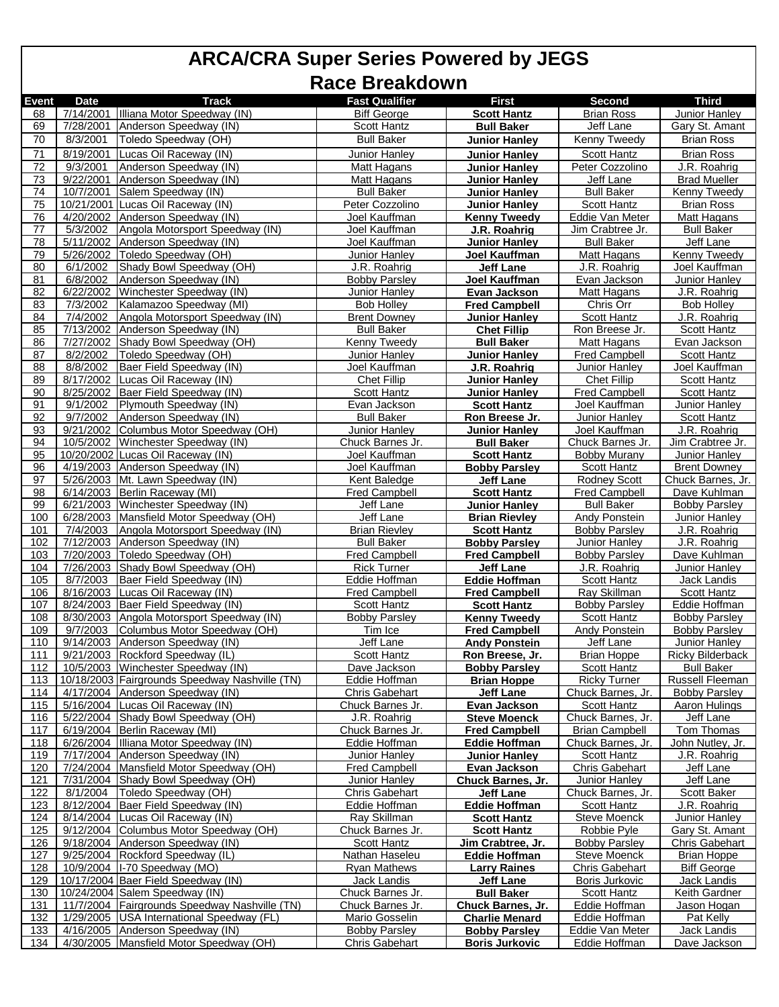| <b>Event</b> | <b>Date</b> | <b>Track</b>                                   | <b>Fast Qualifier</b> | <b>First</b>          | Second                | <b>Third</b>          |
|--------------|-------------|------------------------------------------------|-----------------------|-----------------------|-----------------------|-----------------------|
| 68           |             | 7/14/2001 Illiana Motor Speedway (IN)          | <b>Biff George</b>    | <b>Scott Hantz</b>    | Brian Ross            | <b>Junior Hanley</b>  |
| 69           | 7/28/2001   | Anderson Speedway (IN)                         | Scott Hantz           | <b>Bull Baker</b>     | Jeff Lane             | Gary St. Amant        |
| 70           | 8/3/2001    | Toledo Speedway (OH)                           | <b>Bull Baker</b>     | <b>Junior Hanley</b>  | Kenny Tweedy          | <b>Brian Ross</b>     |
|              |             |                                                |                       |                       |                       |                       |
| 71           | 8/19/2001   | Lucas Oil Raceway (IN)                         | Junior Hanley         | <b>Junior Hanlev</b>  | <b>Scott Hantz</b>    | <b>Brian Ross</b>     |
| 72           | 9/3/2001    | Anderson Speedway (IN)                         | <b>Matt Hagans</b>    | <b>Junior Hanley</b>  | Peter Cozzolino       | J.R. Roahrig          |
| 73           | 9/22/2001   | Anderson Speedway (IN)                         | <b>Matt Hagans</b>    | <b>Junior Hanley</b>  | Jeff Lane             | <b>Brad Mueller</b>   |
| 74           | 10/7/2001   | Salem Speedway (IN)                            | <b>Bull Baker</b>     | <b>Junior Hanley</b>  | <b>Bull Baker</b>     | <b>Kenny Tweedy</b>   |
| 75           |             | 10/21/2001 Lucas Oil Raceway (IN)              | Peter Cozzolino       | <b>Junior Hanley</b>  | <b>Scott Hantz</b>    | <b>Brian Ross</b>     |
| 76           | 4/20/2002   | Anderson Speedway (IN)                         | Joel Kauffman         |                       | Eddie Van Meter       | Matt Hagans           |
|              |             |                                                |                       | <b>Kenny Tweedy</b>   |                       |                       |
| 77           | 5/3/2002    | Angola Motorsport Speedway (IN)                | Joel Kauffman         | J.R. Roahrig          | Jim Crabtree Jr.      | <b>Bull Baker</b>     |
| <u>78</u>    | 5/11/2002   | Anderson Speedway (IN)                         | Joel Kauffman         | <b>Junior Hanley</b>  | <b>Bull Baker</b>     | Jeff Lane             |
| 79           | 5/26/2002   | Toledo Speedway (OH)                           | Junior Hanley         | Joel Kauffman         | Matt Hagans           | Kenny Tweedy          |
| 80           | 6/1/2002    | Shady Bowl Speedway (OH)                       | J.R. Roahrig          | <b>Jeff Lane</b>      | J.R. Roahrig          | Joel Kauffman         |
| 81           | 6/8/2002    | Anderson Speedway (IN)                         | <b>Bobby Parsley</b>  | Joel Kauffman         | Evan Jackson          | <b>Junior Hanley</b>  |
| 82           | 6/22/2002   | Winchester Speedway (IN)                       | <b>Junior Hanley</b>  | Evan Jackson          | Matt Hagans           | J.R. Roahrig          |
| 83           | 7/3/2002    | Kalamazoo Speedway (MI)                        | <b>Bob Holley</b>     | <b>Fred Campbell</b>  | Chris Orr             | <b>Bob Holley</b>     |
|              |             |                                                |                       |                       |                       |                       |
| 84           | 7/4/2002    | Angola Motorsport Speedway (IN)                | <b>Brent Downey</b>   | <b>Junior Hanley</b>  | Scott Hantz           | J.R. Roahrig          |
| 85           | 7/13/2002   | Anderson Speedway (IN)                         | <b>Bull Baker</b>     | <b>Chet Fillip</b>    | Ron Breese Jr.        | <b>Scott Hantz</b>    |
| 86           | 7/27/2002   | Shady Bowl Speedway (OH)                       | Kenny Tweedy          | <b>Bull Baker</b>     | <b>Matt Hagans</b>    | Evan Jackson          |
| 87           | 8/2/2002    | Toledo Speedway (OH)                           | Junior Hanley         | <b>Junior Hanley</b>  | <b>Fred Campbell</b>  | Scott Hantz           |
| 88           | 8/8/2002    | Baer Field Speedway (IN)                       | Joel Kauffman         | J.R. Roahrig          | <b>Junior Hanley</b>  | Joel Kauffman         |
| 89           | 8/17/2002   | Lucas Oil Raceway (IN)                         | <b>Chet Fillip</b>    | Junior Hanlev         | <b>Chet Fillip</b>    | <b>Scott Hantz</b>    |
| 90           | 8/25/2002   | Baer Field Speedway (IN)                       | <b>Scott Hantz</b>    | <b>Junior Hanley</b>  | <b>Fred Campbell</b>  | Scott Hantz           |
| 91           | 9/1/2002    | Plymouth Speedway (IN)                         | Evan Jackson          | <b>Scott Hantz</b>    | Joel Kauffman         | Junior Hanley         |
| 92           | 9/7/2002    | Anderson Speedway (IN)                         | <b>Bull Baker</b>     |                       | Junior Hanley         | Scott Hantz           |
|              |             |                                                |                       | Ron Breese Jr.        |                       |                       |
| 93           | 9/21/2002   | Columbus Motor Speedway (OH)                   | Junior Hanley         | <b>Junior Hanley</b>  | Joel Kauffman         | J.R. Roahrig          |
| 94           | 10/5/2002   | Winchester Speedway (IN)                       | Chuck Barnes Jr.      | <b>Bull Baker</b>     | Chuck Barnes Jr.      | Jim Crabtree Jr.      |
| 95           |             | 10/20/2002 Lucas Oil Raceway (IN)              | Joel Kauffman         | <b>Scott Hantz</b>    | <b>Bobby Murany</b>   | Junior Hanley         |
| 96           |             | 4/19/2003 Anderson Speedway (IN)               | Joel Kauffman         | <b>Bobby Parsley</b>  | Scott Hantz           | <b>Brent Downey</b>   |
| 97           |             | 5/26/2003 Mt. Lawn Speedway (IN)               | Kent Baledge          | <b>Jeff Lane</b>      | <b>Rodney Scott</b>   | Chuck Barnes, Jr.     |
| 98           |             | 6/14/2003 Berlin Raceway (MI)                  | Fred Campbell         | <b>Scott Hantz</b>    | <b>Fred Campbell</b>  | Dave Kuhlman          |
| 99           | 6/21/2003   | Winchester Speedway (IN)                       | Jeff Lane             | <b>Junior Hanley</b>  | <b>Bull Baker</b>     | <b>Bobby Parsley</b>  |
| 100          | 6/28/2003   | Mansfield Motor Speedway (OH)                  | Jeff Lane             | <b>Brian Rievley</b>  | Andy Ponstein         | <b>Junior Hanley</b>  |
| 101          | 7/4/2003    | Angola Motorsport Speedway (IN)                | <b>Brian Rievley</b>  | <b>Scott Hantz</b>    | <b>Bobby Parsley</b>  | J.R. Roahrig          |
| 102          | 7/12/2003   | Anderson Speedway (IN)                         | <b>Bull Baker</b>     | <b>Bobby Parsley</b>  | <b>Junior Hanley</b>  | J.R. Roahrig          |
|              |             |                                                |                       |                       |                       |                       |
| 103          | 7/20/2003   | Toledo Speedway (OH)                           | <b>Fred Campbell</b>  | <b>Fred Campbell</b>  | <b>Bobby Parsley</b>  | Dave Kuhlman          |
| 104          | 7/26/2003   | Shady Bowl Speedway (OH)                       | <b>Rick Turner</b>    | <b>Jeff Lane</b>      | J.R. Roahrig          | Junior Hanley         |
| 105          | 8/7/2003    | Baer Field Speedway (IN)                       | Eddie Hoffman         | Eddie Hoffman         | <b>Scott Hantz</b>    | Jack Landis           |
| 106          | 8/16/2003   | Lucas Oil Raceway (IN)                         | <b>Fred Campbell</b>  | <b>Fred Campbell</b>  | Ray Skillman          | Scott Hantz           |
| 107          | 8/24/2003   | Baer Field Speedway (IN)                       | <b>Scott Hantz</b>    | <b>Scott Hantz</b>    | <b>Bobby Parsley</b>  | Eddie Hoffman         |
| 108          | 8/30/2003   | Angola Motorsport Speedway (IN)                | <b>Bobby Parsley</b>  | <b>Kenny Tweedy</b>   | Scott Hantz           | <b>Bobby Parsley</b>  |
| 109          | 9/7/2003    | Columbus Motor Speedway (OH)                   | Tim Ice               | <b>Fred Campbell</b>  | <b>Andy Ponstein</b>  | <b>Bobby Parsley</b>  |
| 110          |             | 9/14/2003 Anderson Speedway (IN)               | Jeff Lane             | <b>Andy Ponstein</b>  | Jeff Lane             | <b>Junior Hanley</b>  |
| 111          |             | 9/21/2003 Rockford Speedway (IL)               | <b>Scott Hantz</b>    |                       |                       | Ricky Bilderback      |
|              |             |                                                |                       | Ron Breese, Jr.       | <b>Brian Hoppe</b>    | <b>Bull Baker</b>     |
| 112          |             | 10/5/2003 Winchester Speedway (IN)             | Dave Jackson          | <b>Bobby Parsley</b>  | Scott Hantz           |                       |
| 113          |             | 10/18/2003 Fairgrounds Speedway Nashville (TN) | Eddie Hoffman         | <b>Brian Hoppe</b>    | <b>Ricky Turner</b>   | Russell Fleeman       |
| 114          |             | 4/17/2004 Anderson Speedway (IN)               | <b>Chris Gabehart</b> | Jeff Lane             | Chuck Barnes, Jr.     | <b>Bobby Parsley</b>  |
| 115          |             | 5/16/2004 Lucas Oil Raceway (IN)               | Chuck Barnes Jr.      | Evan Jackson          | Scott Hantz           | Aaron Hulings         |
| 116          | 5/22/2004   | Shady Bowl Speedway (OH)                       | J.R. Roahrig          | <b>Steve Moenck</b>   | Chuck Barnes, Jr.     | Jeff Lane             |
| 117          | 6/19/2004   | Berlin Raceway (MI)                            | Chuck Barnes Jr.      | <b>Fred Campbell</b>  | <b>Brian Campbell</b> | Tom Thomas            |
| 118          | 6/26/2004   | Illiana Motor Speedway (IN)                    | Eddie Hoffman         | <b>Eddie Hoffman</b>  | Chuck Barnes, Jr.     | John Nutley, Jr.      |
| 119          | 7/17/2004   | Anderson Speedway (IN)                         | <b>Junior Hanley</b>  | Junior Hanley         | <b>Scott Hantz</b>    | J.R. Roahrig          |
| 120          |             | 7/24/2004   Mansfield Motor Speedway (OH)      | <b>Fred Campbell</b>  | Evan Jackson          | Chris Gabehart        | Jeff Lane             |
| 121          | 7/31/2004   | Shady Bowl Speedway (OH)                       | <b>Junior Hanley</b>  | Chuck Barnes, Jr.     | Junior Hanley         | Jeff Lane             |
|              |             |                                                |                       |                       |                       |                       |
| 122          | 8/1/2004    | Toledo Speedway (OH)                           | Chris Gabehart        | Jeff Lane             | Chuck Barnes, Jr.     | Scott Baker           |
| 123          | 8/12/2004   | Baer Field Speedway (IN)                       | Eddie Hoffman         | <b>Eddie Hoffman</b>  | <b>Scott Hantz</b>    | J.R. Roahrig          |
| 124          | 8/14/2004   | Lucas Oil Raceway (IN)                         | Ray Skillman          | <b>Scott Hantz</b>    | Steve Moenck          | Junior Hanley         |
| 125          | 9/12/2004   | Columbus Motor Speedway (OH)                   | Chuck Barnes Jr.      | <b>Scott Hantz</b>    | Robbie Pyle           | Gary St. Amant        |
| 126          | 9/18/2004   | Anderson Speedway (IN)                         | Scott Hantz           | Jim Crabtree, Jr.     | <b>Bobby Parsley</b>  | <b>Chris Gabehart</b> |
| 127          | 9/25/2004   | Rockford Speedway (IL)                         | Nathan Haseleu        | <b>Eddie Hoffman</b>  | <b>Steve Moenck</b>   | <b>Brian Hoppe</b>    |
| 128          |             | 10/9/2004   I-70 Speedway (MO)                 | <b>Ryan Mathews</b>   | <b>Larry Raines</b>   | <b>Chris Gabehart</b> | <b>Biff George</b>    |
| 129          |             | 10/17/2004 Baer Field Speedway (IN)            | Jack Landis           | <b>Jeff Lane</b>      | Boris Jurkovic        | Jack Landis           |
| 130          |             | 10/24/2004 Salem Speedway (IN)                 | Chuck Barnes Jr.      | <b>Bull Baker</b>     | <b>Scott Hantz</b>    | Keith Gardner         |
| 131          |             | 11/7/2004 Fairgrounds Speedway Nashville (TN)  | Chuck Barnes Jr.      | Chuck Barnes, Jr.     | Eddie Hoffman         | Jason Hogan           |
| 132          | 1/29/2005   | USA International Speedway (FL)                | Mario Gosselin        |                       | Eddie Hoffman         | Pat Kelly             |
|              |             |                                                |                       | <b>Charlie Menard</b> |                       |                       |
| 133          |             | 4/16/2005 Anderson Speedway (IN)               | <b>Bobby Parsley</b>  | <b>Bobby Parsley</b>  | Eddie Van Meter       | Jack Landis           |
| 134          |             | 4/30/2005 Mansfield Motor Speedway (OH)        | <b>Chris Gabehart</b> | <b>Boris Jurkovic</b> | Eddie Hoffman         | Dave Jackson          |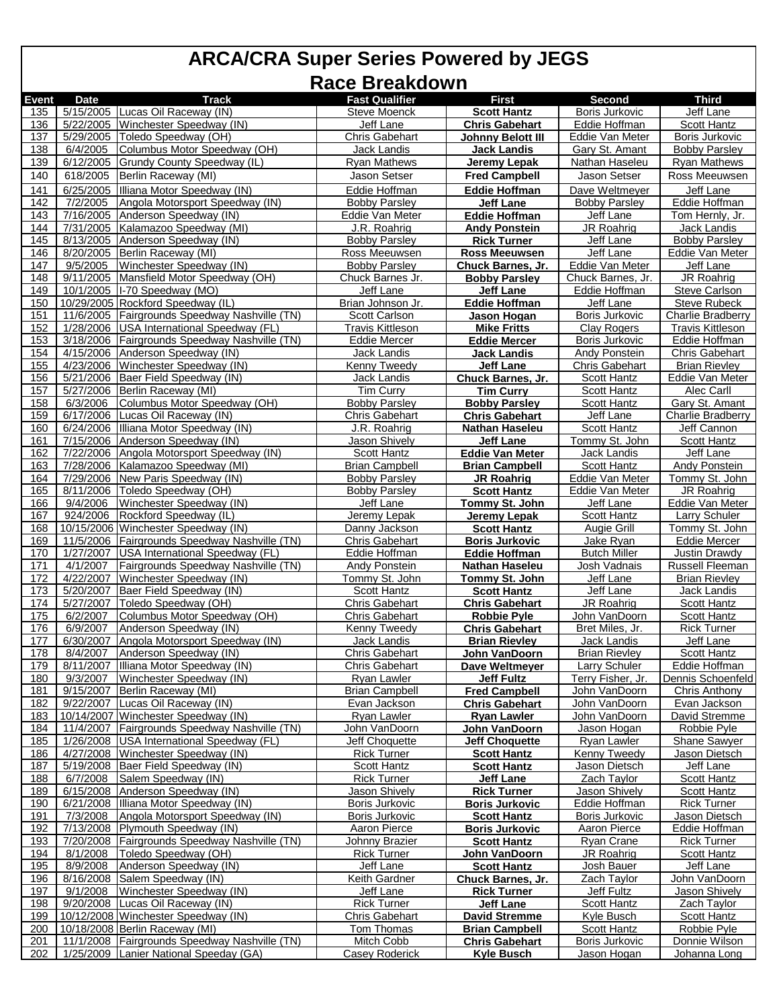| 5/15/2005 Lucas Oil Raceway (IN)<br>135<br><b>Steve Moenck</b><br>Jeff Lane<br>Boris Jurkovic<br><b>Scott Hantz</b><br>5/22/2005 Winchester Speedway (IN)<br>136<br>Jeff Lane<br><b>Chris Gabehart</b><br>Eddie Hoffman<br>Scott Hantz<br>137<br>5/29/2005 Toledo Speedway (OH)<br><b>Chris Gabehart</b><br>Eddie Van Meter<br>Boris Jurkovic<br><b>Johnny Belott III</b><br>138<br>6/4/2005<br>Columbus Motor Speedway (OH)<br>Jack Landis<br><b>Jack Landis</b><br>Gary St. Amant<br><b>Bobby Parsley</b><br>139<br>6/12/2005<br>Grundy County Speedway (IL)<br><b>Rvan Mathews</b><br>Jeremy Lepak<br>Nathan Haseleu<br><b>Ryan Mathews</b><br>140<br>618/2005<br>Jason Setser<br>Jason Setser<br>Ross Meeuwsen<br>Berlin Raceway (MI)<br><b>Fred Campbell</b><br>141<br>6/25/2005<br>Illiana Motor Speedway (IN)<br>Eddie Hoffman<br>Dave Weltmeyer<br>Jeff Lane<br><b>Eddie Hoffman</b><br>142<br>7/2/2005<br>Angola Motorsport Speedway (IN)<br><b>Bobby Parsley</b><br>Jeff Lane<br><b>Bobby Parsley</b><br>Eddie Hoffman<br>7/16/2005<br>Anderson Speedway (IN)<br>143<br>Eddie Van Meter<br><b>Eddie Hoffman</b><br>Jeff Lane<br>Tom Hernly, Jr.<br>7/31/2005 Kalamazoo Speedway (MI)<br>J.R. Roahrig<br>JR Roahrig<br>Jack Landis<br>144<br><b>Andy Ponstein</b><br>145<br>8/13/2005<br>Anderson Speedway (IN)<br><b>Bobby Parsley</b><br><b>Rick Turner</b><br>Jeff Lane<br><b>Bobby Parsley</b><br>146<br>8/20/2005 Berlin Raceway (MI)<br>Ross Meeuwsen<br><b>Ross Meeuwsen</b><br>Jeff Lane<br>Eddie Van Meter<br>9/5/2005<br>Winchester Speedway (IN)<br>Eddie Van Meter<br>Jeff Lane<br>147<br><b>Bobby Parsley</b><br>Chuck Barnes, Jr.<br>148<br>Mansfield Motor Speedway (OH)<br>JR Roahrig<br>9/11/2005<br>Chuck Barnes Jr.<br><b>Bobby Parsley</b><br>Chuck Barnes, Jr.<br>149<br>10/1/2005   I-70 Speedway (MO)<br>Jeff Lane<br>Jeff Lane<br>Eddie Hoffman<br><b>Steve Carlson</b><br>10/29/2005 Rockford Speedway (IL)<br>Jeff Lane<br>150<br>Brian Johnson Jr.<br><b>Steve Rubeck</b><br><b>Eddie Hoffman</b><br>11/6/2005 Fairgrounds Speedway Nashville (TN)<br>Boris Jurkovic<br>151<br>Scott Carlson<br>Jason Hogan<br>152<br>1/28/2006 USA International Speedway (FL)<br><b>Travis Kittleson</b><br><b>Clay Rogers</b><br>Travis Kittleson<br><b>Mike Fritts</b><br>153<br>3/18/2006 Fairgrounds Speedway Nashville (TN)<br>Eddie Hoffman<br><b>Eddie Mercer</b><br>Boris Jurkovic<br><b>Eddie Mercer</b><br>4/15/2006 Anderson Speedway (IN)<br>154<br>Jack Landis<br>Jack Landis<br>Andy Ponstein<br><b>Chris Gabehart</b><br>155<br>4/23/2006 Winchester Speedway (IN)<br>Jeff Lane<br><b>Chris Gabehart</b><br><b>Brian Rievley</b><br>Kenny Tweedy<br>156<br>5/21/2006 Baer Field Speedway (IN)<br>Jack Landis<br>Chuck Barnes, Jr.<br>Scott Hantz<br>Eddie Van Meter<br>157<br>5/27/2006 Berlin Raceway (MI)<br><b>Tim Curry</b><br><b>Scott Hantz</b><br>Alec Carll<br><b>Tim Curry</b><br>158<br>6/3/2006<br>Columbus Motor Speedway (OH)<br><b>Bobby Parsley</b><br>Scott Hantz<br>Gary St. Amant<br><b>Bobby Parsley</b><br>159<br>6/17/2006<br>Lucas Oil Raceway (IN)<br>Chris Gabehart<br><b>Chris Gabehart</b><br>Jeff Lane<br>6/24/2006 Illiana Motor Speedway (IN)<br>Jeff Cannon<br>160<br>J.R. Roahrig<br><b>Nathan Haseleu</b><br><b>Scott Hantz</b><br>7/15/2006 Anderson Speedway (IN)<br>Scott Hantz<br>161<br><b>Jason Shively</b><br>Tommy St. John<br>Jeff Lane<br>7/22/2006 Angola Motorsport Speedway (IN)<br>162<br><b>Scott Hantz</b><br><b>Eddie Van Meter</b><br>Jack Landis<br>Jeff Lane<br>163<br>7/28/2006 Kalamazoo Speedway (MI)<br><b>Brian Campbell</b><br><b>Brian Campbell</b><br><b>Scott Hantz</b><br>Andy Ponstein<br>164<br>7/29/2006 New Paris Speedway (IN)<br><b>Bobby Parsley</b><br>Tommy St. John<br>Eddie Van Meter<br>JR Roahrig<br>165<br>8/11/2006   Toledo Speedway (OH)<br><b>Bobby Parsley</b><br><b>Scott Hantz</b><br>Eddie Van Meter<br>JR Roahrig<br>166<br>9/4/2006<br>Jeff Lane<br>Winchester Speedway (IN)<br>Eddie Van Meter<br>Jeff Lane<br>Tommy St. John<br>167<br>924/2006<br>Rockford Speedway (IL)<br><b>Larry Schuler</b><br>Jeremy Lepak<br>Jeremy Lepak<br>Scott Hantz<br>10/15/2006 Winchester Speedway (IN)<br>168<br>Danny Jackson<br>Augie Grill<br>Tommy St. John<br><b>Scott Hantz</b><br>169<br>11/5/2006 Fairgrounds Speedway Nashville (TN)<br><b>Chris Gabehart</b><br><b>Boris Jurkovic</b><br>Jake Ryan<br><b>Eddie Mercer</b><br>170<br>1/27/2007<br>USA International Speedway (FL)<br>Eddie Hoffman<br><b>Eddie Hoffman</b><br><b>Butch Miller</b><br>Justin Drawdy<br>171<br>4/1/2007<br>Fairgrounds Speedway Nashville (TN)<br><b>Andy Ponstein</b><br><u>Josh Vadnais</u><br>Russell Fleeman<br><b>Nathan Haseleu</b><br>4/22/2007<br>Jeff Lane<br><b>Brian Rievley</b><br>172<br>Winchester Speedway (IN)<br>Tommy St. John<br>Tommy St. John<br>173<br>Baer Field Speedway (IN)<br>5/20/2007<br>Scott Hantz<br>Jeff Lane<br>Jack Landis<br><b>Scott Hantz</b><br>174<br>5/27/2007<br>Toledo Speedway (OH)<br><b>Chris Gabehart</b><br>JR Roahrig<br><b>Scott Hantz</b><br><b>Chris Gabehart</b><br>175<br>6/2/2007<br>Columbus Motor Speedway (OH)<br><b>Chris Gabehart</b><br>John VanDoorn<br><b>Scott Hantz</b><br><b>Robbie Pyle</b><br>176<br>6/9/2007<br>Anderson Speedway (IN)<br>Kenny Tweedy<br>Bret Miles, Jr.<br><b>Rick Turner</b><br><b>Chris Gabehart</b><br>6/30/2007 Angola Motorsport Speedway (IN)<br>177<br>Jack Landis<br>Jeff Lane<br><b>Brian Rievley</b><br>Jack Landis<br>178<br>8/4/2007 Anderson Speedway (IN)<br><b>Chris Gabehart</b><br><b>Brian Rievley</b><br>Scott Hantz<br>John VanDoorn<br>8/11/2007 Illiana Motor Speedway (IN)<br><b>Chris Gabehart</b><br>Dave Weltmeyer<br><b>Larry Schuler</b><br>Eddie Hoffman<br>179<br>180<br>9/3/2007<br>Winchester Speedway (IN)<br>Dennis Schoenfeld<br>Ryan Lawler<br><b>Jeff Fultz</b><br>Terry Fisher, Jr.<br>9/15/2007<br>Berlin Raceway (MI)<br><b>Brian Campbell</b><br>181<br><b>Fred Campbell</b><br>John VanDoorn<br>Chris Anthony<br>9/22/2007 Lucas Oil Raceway (IN)<br>182<br>Evan Jackson<br><b>Chris Gabehart</b><br>John VanDoorn<br>Evan Jackson<br>183<br>10/14/2007 Winchester Speedway (IN)<br>David Stremme<br>Ryan Lawler<br><b>Ryan Lawler</b><br>John VanDoorn<br>11/4/2007<br>184<br>Fairgrounds Speedway Nashville (TN)<br>John VanDoorn<br>Jason Hogan<br>Robbie Pyle<br>John VanDoorn<br>185<br>1/26/2008<br>USA International Speedway (FL)<br>Jeff Choquette<br><b>Jeff Choquette</b><br>Ryan Lawler<br><b>Shane Sawyer</b><br>186<br>4/27/2008<br>Winchester Speedway (IN)<br><b>Rick Turner</b><br>Kenny Tweedy<br><b>Scott Hantz</b><br>Jason Dietsch<br>187<br>5/19/2008 Baer Field Speedway (IN)<br>Jeff Lane<br>Scott Hantz<br><b>Scott Hantz</b><br>Jason Dietsch<br>188<br>6/7/2008<br>Salem Speedway (IN)<br><b>Rick Turner</b><br>Zach Taylor<br>Scott Hantz<br>Jeff Lane<br>189<br>Anderson Speedway (IN)<br>6/15/2008<br>Jason Shively<br>Jason Shively<br><b>Scott Hantz</b><br><b>Rick Turner</b><br>190<br>6/21/2008 Illiana Motor Speedway (IN)<br>Boris Jurkovic<br>Eddie Hoffman<br><b>Rick Turner</b><br><b>Boris Jurkovic</b><br>191<br>7/3/2008<br>Angola Motorsport Speedway (IN)<br>Boris Jurkovic<br><b>Scott Hantz</b><br>Boris Jurkovic<br>Jason Dietsch<br>192<br>7/13/2008 Plymouth Speedway (IN)<br>Aaron Pierce<br>Aaron Pierce<br>Eddie Hoffman<br><b>Boris Jurkovic</b><br>7/20/2008   Fairgrounds Speedway Nashville (TN)<br>193<br>Johnny Brazier<br><b>Scott Hantz</b><br>Ryan Crane<br>Rick Turner<br>194<br>8/1/2008 Toledo Speedway (OH)<br><b>Rick Turner</b><br>JR Roahrig<br><b>Scott Hantz</b><br>John VanDoorn<br>Anderson Speedway (IN)<br>195<br>8/9/2008<br>Jeff Lane<br>Josh Bauer<br>Jeff Lane<br><b>Scott Hantz</b><br>196<br>8/16/2008 Salem Speedway (IN)<br>Keith Gardner<br>Zach Taylor<br>John VanDoorn<br><b>Chuck Barnes, Jr.</b><br>197<br>9/1/2008<br>Winchester Speedway (IN)<br>Jeff Lane<br><b>Rick Turner</b><br>Jeff Fultz<br><b>Jason Shively</b><br>198<br>9/20/2008 Lucas Oil Raceway (IN)<br>Zach Taylor<br>Rick Turner<br><b>Jeff Lane</b><br>Scott Hantz<br>10/12/2008 Winchester Speedway (IN)<br>199<br><b>Chris Gabehart</b><br><b>David Stremme</b><br>Kyle Busch<br>Scott Hantz<br>200<br>10/18/2008 Berlin Raceway (MI)<br>Tom Thomas<br><b>Brian Campbell</b><br>Scott Hantz<br>Robbie Pyle<br>11/1/2008 Fairgrounds Speedway Nashville (TN)<br>Mitch Cobb<br>Boris Jurkovic<br>Donnie Wilson<br>201<br><b>Chris Gabehart</b><br>202<br>1/25/2009 Lanier National Speeday (GA)<br><b>Casey Roderick</b><br><b>Kyle Busch</b><br>Jason Hogan<br>Johanna Long |              |             |              | <b>NAVE DI CANUVIII</b> |       |        |                   |
|------------------------------------------------------------------------------------------------------------------------------------------------------------------------------------------------------------------------------------------------------------------------------------------------------------------------------------------------------------------------------------------------------------------------------------------------------------------------------------------------------------------------------------------------------------------------------------------------------------------------------------------------------------------------------------------------------------------------------------------------------------------------------------------------------------------------------------------------------------------------------------------------------------------------------------------------------------------------------------------------------------------------------------------------------------------------------------------------------------------------------------------------------------------------------------------------------------------------------------------------------------------------------------------------------------------------------------------------------------------------------------------------------------------------------------------------------------------------------------------------------------------------------------------------------------------------------------------------------------------------------------------------------------------------------------------------------------------------------------------------------------------------------------------------------------------------------------------------------------------------------------------------------------------------------------------------------------------------------------------------------------------------------------------------------------------------------------------------------------------------------------------------------------------------------------------------------------------------------------------------------------------------------------------------------------------------------------------------------------------------------------------------------------------------------------------------------------------------------------------------------------------------------------------------------------------------------------------------------------------------------------------------------------------------------------------------------------------------------------------------------------------------------------------------------------------------------------------------------------------------------------------------------------------------------------------------------------------------------------------------------------------------------------------------------------------------------------------------------------------------------------------------------------------------------------------------------------------------------------------------------------------------------------------------------------------------------------------------------------------------------------------------------------------------------------------------------------------------------------------------------------------------------------------------------------------------------------------------------------------------------------------------------------------------------------------------------------------------------------------------------------------------------------------------------------------------------------------------------------------------------------------------------------------------------------------------------------------------------------------------------------------------------------------------------------------------------------------------------------------------------------------------------------------------------------------------------------------------------------------------------------------------------------------------------------------------------------------------------------------------------------------------------------------------------------------------------------------------------------------------------------------------------------------------------------------------------------------------------------------------------------------------------------------------------------------------------------------------------------------------------------------------------------------------------------------------------------------------------------------------------------------------------------------------------------------------------------------------------------------------------------------------------------------------------------------------------------------------------------------------------------------------------------------------------------------------------------------------------------------------------------------------------------------------------------------------------------------------------------------------------------------------------------------------------------------------------------------------------------------------------------------------------------------------------------------------------------------------------------------------------------------------------------------------------------------------------------------------------------------------------------------------------------------------------------------------------------------------------------------------------------------------------------------------------------------------------------------------------------------------------------------------------------------------------------------------------------------------------------------------------------------------------------------------------------------------------------------------------------------------------------------------------------------------------------------------------------------------------------------------------------------------------------------------------------------------------------------------------------------------------------------------------------------------------------------------------------------------------------------------------------------------------------------------------------------------------------------------------------------------------------------------------------------------------------------------------------------------------------------------------------------------------------------------------------------------------------------------------------------------------------------------------------------------------------------------------------------------------------------------------------------------------------------------------------------------------------------------------------------------------------------------------------------------------------------------------------------------------------------------------------------------------------------------------------------------------------------------------------------------------------------------------------------------------------------------------------------------------------------------------------------------------------------------------------------------------------------------------------------------------------------------------------------------------------------------------------------------------------------------------------------------------------------------------------------------------------------------------------------------------------------------------------------------------------------------------------------------------------------------------------------------------------------------------------------------------------------------------------------------------------------------------------------------------------------------------------------------------------------------------------------------------------------------------------------------------------------------------------------------------------------------------------------------------------------------------------------------------------------------------------------------------------------------------|--------------|-------------|--------------|-------------------------|-------|--------|-------------------|
|                                                                                                                                                                                                                                                                                                                                                                                                                                                                                                                                                                                                                                                                                                                                                                                                                                                                                                                                                                                                                                                                                                                                                                                                                                                                                                                                                                                                                                                                                                                                                                                                                                                                                                                                                                                                                                                                                                                                                                                                                                                                                                                                                                                                                                                                                                                                                                                                                                                                                                                                                                                                                                                                                                                                                                                                                                                                                                                                                                                                                                                                                                                                                                                                                                                                                                                                                                                                                                                                                                                                                                                                                                                                                                                                                                                                                                                                                                                                                                                                                                                                                                                                                                                                                                                                                                                                                                                                                                                                                                                                                                                                                                                                                                                                                                                                                                                                                                                                                                                                                                                                                                                                                                                                                                                                                                                                                                                                                                                                                                                                                                                                                                                                                                                                                                                                                                                                                                                                                                                                                                                                                                                                                                                                                                                                                                                                                                                                                                                                                                                                                                                                                                                                                                                                                                                                                                                                                                                                                                                                                                                                                                                                                                                                                                                                                                                                                                                                                                                                                                                                                                                                                                                                                                                                                                                                                                                                                                                                                                                                                                                                                                                                                                                                                                                                                                                                                                                                                                                                                                                                                                                                                                                                              | <b>Event</b> | <b>Date</b> | <b>Track</b> | <b>Fast Qualifier</b>   | First | Second | <b>Third</b>      |
|                                                                                                                                                                                                                                                                                                                                                                                                                                                                                                                                                                                                                                                                                                                                                                                                                                                                                                                                                                                                                                                                                                                                                                                                                                                                                                                                                                                                                                                                                                                                                                                                                                                                                                                                                                                                                                                                                                                                                                                                                                                                                                                                                                                                                                                                                                                                                                                                                                                                                                                                                                                                                                                                                                                                                                                                                                                                                                                                                                                                                                                                                                                                                                                                                                                                                                                                                                                                                                                                                                                                                                                                                                                                                                                                                                                                                                                                                                                                                                                                                                                                                                                                                                                                                                                                                                                                                                                                                                                                                                                                                                                                                                                                                                                                                                                                                                                                                                                                                                                                                                                                                                                                                                                                                                                                                                                                                                                                                                                                                                                                                                                                                                                                                                                                                                                                                                                                                                                                                                                                                                                                                                                                                                                                                                                                                                                                                                                                                                                                                                                                                                                                                                                                                                                                                                                                                                                                                                                                                                                                                                                                                                                                                                                                                                                                                                                                                                                                                                                                                                                                                                                                                                                                                                                                                                                                                                                                                                                                                                                                                                                                                                                                                                                                                                                                                                                                                                                                                                                                                                                                                                                                                                                                              |              |             |              |                         |       |        |                   |
|                                                                                                                                                                                                                                                                                                                                                                                                                                                                                                                                                                                                                                                                                                                                                                                                                                                                                                                                                                                                                                                                                                                                                                                                                                                                                                                                                                                                                                                                                                                                                                                                                                                                                                                                                                                                                                                                                                                                                                                                                                                                                                                                                                                                                                                                                                                                                                                                                                                                                                                                                                                                                                                                                                                                                                                                                                                                                                                                                                                                                                                                                                                                                                                                                                                                                                                                                                                                                                                                                                                                                                                                                                                                                                                                                                                                                                                                                                                                                                                                                                                                                                                                                                                                                                                                                                                                                                                                                                                                                                                                                                                                                                                                                                                                                                                                                                                                                                                                                                                                                                                                                                                                                                                                                                                                                                                                                                                                                                                                                                                                                                                                                                                                                                                                                                                                                                                                                                                                                                                                                                                                                                                                                                                                                                                                                                                                                                                                                                                                                                                                                                                                                                                                                                                                                                                                                                                                                                                                                                                                                                                                                                                                                                                                                                                                                                                                                                                                                                                                                                                                                                                                                                                                                                                                                                                                                                                                                                                                                                                                                                                                                                                                                                                                                                                                                                                                                                                                                                                                                                                                                                                                                                                                              |              |             |              |                         |       |        |                   |
|                                                                                                                                                                                                                                                                                                                                                                                                                                                                                                                                                                                                                                                                                                                                                                                                                                                                                                                                                                                                                                                                                                                                                                                                                                                                                                                                                                                                                                                                                                                                                                                                                                                                                                                                                                                                                                                                                                                                                                                                                                                                                                                                                                                                                                                                                                                                                                                                                                                                                                                                                                                                                                                                                                                                                                                                                                                                                                                                                                                                                                                                                                                                                                                                                                                                                                                                                                                                                                                                                                                                                                                                                                                                                                                                                                                                                                                                                                                                                                                                                                                                                                                                                                                                                                                                                                                                                                                                                                                                                                                                                                                                                                                                                                                                                                                                                                                                                                                                                                                                                                                                                                                                                                                                                                                                                                                                                                                                                                                                                                                                                                                                                                                                                                                                                                                                                                                                                                                                                                                                                                                                                                                                                                                                                                                                                                                                                                                                                                                                                                                                                                                                                                                                                                                                                                                                                                                                                                                                                                                                                                                                                                                                                                                                                                                                                                                                                                                                                                                                                                                                                                                                                                                                                                                                                                                                                                                                                                                                                                                                                                                                                                                                                                                                                                                                                                                                                                                                                                                                                                                                                                                                                                                                              |              |             |              |                         |       |        |                   |
|                                                                                                                                                                                                                                                                                                                                                                                                                                                                                                                                                                                                                                                                                                                                                                                                                                                                                                                                                                                                                                                                                                                                                                                                                                                                                                                                                                                                                                                                                                                                                                                                                                                                                                                                                                                                                                                                                                                                                                                                                                                                                                                                                                                                                                                                                                                                                                                                                                                                                                                                                                                                                                                                                                                                                                                                                                                                                                                                                                                                                                                                                                                                                                                                                                                                                                                                                                                                                                                                                                                                                                                                                                                                                                                                                                                                                                                                                                                                                                                                                                                                                                                                                                                                                                                                                                                                                                                                                                                                                                                                                                                                                                                                                                                                                                                                                                                                                                                                                                                                                                                                                                                                                                                                                                                                                                                                                                                                                                                                                                                                                                                                                                                                                                                                                                                                                                                                                                                                                                                                                                                                                                                                                                                                                                                                                                                                                                                                                                                                                                                                                                                                                                                                                                                                                                                                                                                                                                                                                                                                                                                                                                                                                                                                                                                                                                                                                                                                                                                                                                                                                                                                                                                                                                                                                                                                                                                                                                                                                                                                                                                                                                                                                                                                                                                                                                                                                                                                                                                                                                                                                                                                                                                                              |              |             |              |                         |       |        |                   |
|                                                                                                                                                                                                                                                                                                                                                                                                                                                                                                                                                                                                                                                                                                                                                                                                                                                                                                                                                                                                                                                                                                                                                                                                                                                                                                                                                                                                                                                                                                                                                                                                                                                                                                                                                                                                                                                                                                                                                                                                                                                                                                                                                                                                                                                                                                                                                                                                                                                                                                                                                                                                                                                                                                                                                                                                                                                                                                                                                                                                                                                                                                                                                                                                                                                                                                                                                                                                                                                                                                                                                                                                                                                                                                                                                                                                                                                                                                                                                                                                                                                                                                                                                                                                                                                                                                                                                                                                                                                                                                                                                                                                                                                                                                                                                                                                                                                                                                                                                                                                                                                                                                                                                                                                                                                                                                                                                                                                                                                                                                                                                                                                                                                                                                                                                                                                                                                                                                                                                                                                                                                                                                                                                                                                                                                                                                                                                                                                                                                                                                                                                                                                                                                                                                                                                                                                                                                                                                                                                                                                                                                                                                                                                                                                                                                                                                                                                                                                                                                                                                                                                                                                                                                                                                                                                                                                                                                                                                                                                                                                                                                                                                                                                                                                                                                                                                                                                                                                                                                                                                                                                                                                                                                                              |              |             |              |                         |       |        |                   |
|                                                                                                                                                                                                                                                                                                                                                                                                                                                                                                                                                                                                                                                                                                                                                                                                                                                                                                                                                                                                                                                                                                                                                                                                                                                                                                                                                                                                                                                                                                                                                                                                                                                                                                                                                                                                                                                                                                                                                                                                                                                                                                                                                                                                                                                                                                                                                                                                                                                                                                                                                                                                                                                                                                                                                                                                                                                                                                                                                                                                                                                                                                                                                                                                                                                                                                                                                                                                                                                                                                                                                                                                                                                                                                                                                                                                                                                                                                                                                                                                                                                                                                                                                                                                                                                                                                                                                                                                                                                                                                                                                                                                                                                                                                                                                                                                                                                                                                                                                                                                                                                                                                                                                                                                                                                                                                                                                                                                                                                                                                                                                                                                                                                                                                                                                                                                                                                                                                                                                                                                                                                                                                                                                                                                                                                                                                                                                                                                                                                                                                                                                                                                                                                                                                                                                                                                                                                                                                                                                                                                                                                                                                                                                                                                                                                                                                                                                                                                                                                                                                                                                                                                                                                                                                                                                                                                                                                                                                                                                                                                                                                                                                                                                                                                                                                                                                                                                                                                                                                                                                                                                                                                                                                                              |              |             |              |                         |       |        |                   |
|                                                                                                                                                                                                                                                                                                                                                                                                                                                                                                                                                                                                                                                                                                                                                                                                                                                                                                                                                                                                                                                                                                                                                                                                                                                                                                                                                                                                                                                                                                                                                                                                                                                                                                                                                                                                                                                                                                                                                                                                                                                                                                                                                                                                                                                                                                                                                                                                                                                                                                                                                                                                                                                                                                                                                                                                                                                                                                                                                                                                                                                                                                                                                                                                                                                                                                                                                                                                                                                                                                                                                                                                                                                                                                                                                                                                                                                                                                                                                                                                                                                                                                                                                                                                                                                                                                                                                                                                                                                                                                                                                                                                                                                                                                                                                                                                                                                                                                                                                                                                                                                                                                                                                                                                                                                                                                                                                                                                                                                                                                                                                                                                                                                                                                                                                                                                                                                                                                                                                                                                                                                                                                                                                                                                                                                                                                                                                                                                                                                                                                                                                                                                                                                                                                                                                                                                                                                                                                                                                                                                                                                                                                                                                                                                                                                                                                                                                                                                                                                                                                                                                                                                                                                                                                                                                                                                                                                                                                                                                                                                                                                                                                                                                                                                                                                                                                                                                                                                                                                                                                                                                                                                                                                                              |              |             |              |                         |       |        |                   |
|                                                                                                                                                                                                                                                                                                                                                                                                                                                                                                                                                                                                                                                                                                                                                                                                                                                                                                                                                                                                                                                                                                                                                                                                                                                                                                                                                                                                                                                                                                                                                                                                                                                                                                                                                                                                                                                                                                                                                                                                                                                                                                                                                                                                                                                                                                                                                                                                                                                                                                                                                                                                                                                                                                                                                                                                                                                                                                                                                                                                                                                                                                                                                                                                                                                                                                                                                                                                                                                                                                                                                                                                                                                                                                                                                                                                                                                                                                                                                                                                                                                                                                                                                                                                                                                                                                                                                                                                                                                                                                                                                                                                                                                                                                                                                                                                                                                                                                                                                                                                                                                                                                                                                                                                                                                                                                                                                                                                                                                                                                                                                                                                                                                                                                                                                                                                                                                                                                                                                                                                                                                                                                                                                                                                                                                                                                                                                                                                                                                                                                                                                                                                                                                                                                                                                                                                                                                                                                                                                                                                                                                                                                                                                                                                                                                                                                                                                                                                                                                                                                                                                                                                                                                                                                                                                                                                                                                                                                                                                                                                                                                                                                                                                                                                                                                                                                                                                                                                                                                                                                                                                                                                                                                                              |              |             |              |                         |       |        |                   |
|                                                                                                                                                                                                                                                                                                                                                                                                                                                                                                                                                                                                                                                                                                                                                                                                                                                                                                                                                                                                                                                                                                                                                                                                                                                                                                                                                                                                                                                                                                                                                                                                                                                                                                                                                                                                                                                                                                                                                                                                                                                                                                                                                                                                                                                                                                                                                                                                                                                                                                                                                                                                                                                                                                                                                                                                                                                                                                                                                                                                                                                                                                                                                                                                                                                                                                                                                                                                                                                                                                                                                                                                                                                                                                                                                                                                                                                                                                                                                                                                                                                                                                                                                                                                                                                                                                                                                                                                                                                                                                                                                                                                                                                                                                                                                                                                                                                                                                                                                                                                                                                                                                                                                                                                                                                                                                                                                                                                                                                                                                                                                                                                                                                                                                                                                                                                                                                                                                                                                                                                                                                                                                                                                                                                                                                                                                                                                                                                                                                                                                                                                                                                                                                                                                                                                                                                                                                                                                                                                                                                                                                                                                                                                                                                                                                                                                                                                                                                                                                                                                                                                                                                                                                                                                                                                                                                                                                                                                                                                                                                                                                                                                                                                                                                                                                                                                                                                                                                                                                                                                                                                                                                                                                                              |              |             |              |                         |       |        |                   |
|                                                                                                                                                                                                                                                                                                                                                                                                                                                                                                                                                                                                                                                                                                                                                                                                                                                                                                                                                                                                                                                                                                                                                                                                                                                                                                                                                                                                                                                                                                                                                                                                                                                                                                                                                                                                                                                                                                                                                                                                                                                                                                                                                                                                                                                                                                                                                                                                                                                                                                                                                                                                                                                                                                                                                                                                                                                                                                                                                                                                                                                                                                                                                                                                                                                                                                                                                                                                                                                                                                                                                                                                                                                                                                                                                                                                                                                                                                                                                                                                                                                                                                                                                                                                                                                                                                                                                                                                                                                                                                                                                                                                                                                                                                                                                                                                                                                                                                                                                                                                                                                                                                                                                                                                                                                                                                                                                                                                                                                                                                                                                                                                                                                                                                                                                                                                                                                                                                                                                                                                                                                                                                                                                                                                                                                                                                                                                                                                                                                                                                                                                                                                                                                                                                                                                                                                                                                                                                                                                                                                                                                                                                                                                                                                                                                                                                                                                                                                                                                                                                                                                                                                                                                                                                                                                                                                                                                                                                                                                                                                                                                                                                                                                                                                                                                                                                                                                                                                                                                                                                                                                                                                                                                                              |              |             |              |                         |       |        |                   |
|                                                                                                                                                                                                                                                                                                                                                                                                                                                                                                                                                                                                                                                                                                                                                                                                                                                                                                                                                                                                                                                                                                                                                                                                                                                                                                                                                                                                                                                                                                                                                                                                                                                                                                                                                                                                                                                                                                                                                                                                                                                                                                                                                                                                                                                                                                                                                                                                                                                                                                                                                                                                                                                                                                                                                                                                                                                                                                                                                                                                                                                                                                                                                                                                                                                                                                                                                                                                                                                                                                                                                                                                                                                                                                                                                                                                                                                                                                                                                                                                                                                                                                                                                                                                                                                                                                                                                                                                                                                                                                                                                                                                                                                                                                                                                                                                                                                                                                                                                                                                                                                                                                                                                                                                                                                                                                                                                                                                                                                                                                                                                                                                                                                                                                                                                                                                                                                                                                                                                                                                                                                                                                                                                                                                                                                                                                                                                                                                                                                                                                                                                                                                                                                                                                                                                                                                                                                                                                                                                                                                                                                                                                                                                                                                                                                                                                                                                                                                                                                                                                                                                                                                                                                                                                                                                                                                                                                                                                                                                                                                                                                                                                                                                                                                                                                                                                                                                                                                                                                                                                                                                                                                                                                                              |              |             |              |                         |       |        |                   |
|                                                                                                                                                                                                                                                                                                                                                                                                                                                                                                                                                                                                                                                                                                                                                                                                                                                                                                                                                                                                                                                                                                                                                                                                                                                                                                                                                                                                                                                                                                                                                                                                                                                                                                                                                                                                                                                                                                                                                                                                                                                                                                                                                                                                                                                                                                                                                                                                                                                                                                                                                                                                                                                                                                                                                                                                                                                                                                                                                                                                                                                                                                                                                                                                                                                                                                                                                                                                                                                                                                                                                                                                                                                                                                                                                                                                                                                                                                                                                                                                                                                                                                                                                                                                                                                                                                                                                                                                                                                                                                                                                                                                                                                                                                                                                                                                                                                                                                                                                                                                                                                                                                                                                                                                                                                                                                                                                                                                                                                                                                                                                                                                                                                                                                                                                                                                                                                                                                                                                                                                                                                                                                                                                                                                                                                                                                                                                                                                                                                                                                                                                                                                                                                                                                                                                                                                                                                                                                                                                                                                                                                                                                                                                                                                                                                                                                                                                                                                                                                                                                                                                                                                                                                                                                                                                                                                                                                                                                                                                                                                                                                                                                                                                                                                                                                                                                                                                                                                                                                                                                                                                                                                                                                                              |              |             |              |                         |       |        |                   |
|                                                                                                                                                                                                                                                                                                                                                                                                                                                                                                                                                                                                                                                                                                                                                                                                                                                                                                                                                                                                                                                                                                                                                                                                                                                                                                                                                                                                                                                                                                                                                                                                                                                                                                                                                                                                                                                                                                                                                                                                                                                                                                                                                                                                                                                                                                                                                                                                                                                                                                                                                                                                                                                                                                                                                                                                                                                                                                                                                                                                                                                                                                                                                                                                                                                                                                                                                                                                                                                                                                                                                                                                                                                                                                                                                                                                                                                                                                                                                                                                                                                                                                                                                                                                                                                                                                                                                                                                                                                                                                                                                                                                                                                                                                                                                                                                                                                                                                                                                                                                                                                                                                                                                                                                                                                                                                                                                                                                                                                                                                                                                                                                                                                                                                                                                                                                                                                                                                                                                                                                                                                                                                                                                                                                                                                                                                                                                                                                                                                                                                                                                                                                                                                                                                                                                                                                                                                                                                                                                                                                                                                                                                                                                                                                                                                                                                                                                                                                                                                                                                                                                                                                                                                                                                                                                                                                                                                                                                                                                                                                                                                                                                                                                                                                                                                                                                                                                                                                                                                                                                                                                                                                                                                                              |              |             |              |                         |       |        |                   |
|                                                                                                                                                                                                                                                                                                                                                                                                                                                                                                                                                                                                                                                                                                                                                                                                                                                                                                                                                                                                                                                                                                                                                                                                                                                                                                                                                                                                                                                                                                                                                                                                                                                                                                                                                                                                                                                                                                                                                                                                                                                                                                                                                                                                                                                                                                                                                                                                                                                                                                                                                                                                                                                                                                                                                                                                                                                                                                                                                                                                                                                                                                                                                                                                                                                                                                                                                                                                                                                                                                                                                                                                                                                                                                                                                                                                                                                                                                                                                                                                                                                                                                                                                                                                                                                                                                                                                                                                                                                                                                                                                                                                                                                                                                                                                                                                                                                                                                                                                                                                                                                                                                                                                                                                                                                                                                                                                                                                                                                                                                                                                                                                                                                                                                                                                                                                                                                                                                                                                                                                                                                                                                                                                                                                                                                                                                                                                                                                                                                                                                                                                                                                                                                                                                                                                                                                                                                                                                                                                                                                                                                                                                                                                                                                                                                                                                                                                                                                                                                                                                                                                                                                                                                                                                                                                                                                                                                                                                                                                                                                                                                                                                                                                                                                                                                                                                                                                                                                                                                                                                                                                                                                                                                                              |              |             |              |                         |       |        |                   |
|                                                                                                                                                                                                                                                                                                                                                                                                                                                                                                                                                                                                                                                                                                                                                                                                                                                                                                                                                                                                                                                                                                                                                                                                                                                                                                                                                                                                                                                                                                                                                                                                                                                                                                                                                                                                                                                                                                                                                                                                                                                                                                                                                                                                                                                                                                                                                                                                                                                                                                                                                                                                                                                                                                                                                                                                                                                                                                                                                                                                                                                                                                                                                                                                                                                                                                                                                                                                                                                                                                                                                                                                                                                                                                                                                                                                                                                                                                                                                                                                                                                                                                                                                                                                                                                                                                                                                                                                                                                                                                                                                                                                                                                                                                                                                                                                                                                                                                                                                                                                                                                                                                                                                                                                                                                                                                                                                                                                                                                                                                                                                                                                                                                                                                                                                                                                                                                                                                                                                                                                                                                                                                                                                                                                                                                                                                                                                                                                                                                                                                                                                                                                                                                                                                                                                                                                                                                                                                                                                                                                                                                                                                                                                                                                                                                                                                                                                                                                                                                                                                                                                                                                                                                                                                                                                                                                                                                                                                                                                                                                                                                                                                                                                                                                                                                                                                                                                                                                                                                                                                                                                                                                                                                                              |              |             |              |                         |       |        |                   |
|                                                                                                                                                                                                                                                                                                                                                                                                                                                                                                                                                                                                                                                                                                                                                                                                                                                                                                                                                                                                                                                                                                                                                                                                                                                                                                                                                                                                                                                                                                                                                                                                                                                                                                                                                                                                                                                                                                                                                                                                                                                                                                                                                                                                                                                                                                                                                                                                                                                                                                                                                                                                                                                                                                                                                                                                                                                                                                                                                                                                                                                                                                                                                                                                                                                                                                                                                                                                                                                                                                                                                                                                                                                                                                                                                                                                                                                                                                                                                                                                                                                                                                                                                                                                                                                                                                                                                                                                                                                                                                                                                                                                                                                                                                                                                                                                                                                                                                                                                                                                                                                                                                                                                                                                                                                                                                                                                                                                                                                                                                                                                                                                                                                                                                                                                                                                                                                                                                                                                                                                                                                                                                                                                                                                                                                                                                                                                                                                                                                                                                                                                                                                                                                                                                                                                                                                                                                                                                                                                                                                                                                                                                                                                                                                                                                                                                                                                                                                                                                                                                                                                                                                                                                                                                                                                                                                                                                                                                                                                                                                                                                                                                                                                                                                                                                                                                                                                                                                                                                                                                                                                                                                                                                                              |              |             |              |                         |       |        |                   |
|                                                                                                                                                                                                                                                                                                                                                                                                                                                                                                                                                                                                                                                                                                                                                                                                                                                                                                                                                                                                                                                                                                                                                                                                                                                                                                                                                                                                                                                                                                                                                                                                                                                                                                                                                                                                                                                                                                                                                                                                                                                                                                                                                                                                                                                                                                                                                                                                                                                                                                                                                                                                                                                                                                                                                                                                                                                                                                                                                                                                                                                                                                                                                                                                                                                                                                                                                                                                                                                                                                                                                                                                                                                                                                                                                                                                                                                                                                                                                                                                                                                                                                                                                                                                                                                                                                                                                                                                                                                                                                                                                                                                                                                                                                                                                                                                                                                                                                                                                                                                                                                                                                                                                                                                                                                                                                                                                                                                                                                                                                                                                                                                                                                                                                                                                                                                                                                                                                                                                                                                                                                                                                                                                                                                                                                                                                                                                                                                                                                                                                                                                                                                                                                                                                                                                                                                                                                                                                                                                                                                                                                                                                                                                                                                                                                                                                                                                                                                                                                                                                                                                                                                                                                                                                                                                                                                                                                                                                                                                                                                                                                                                                                                                                                                                                                                                                                                                                                                                                                                                                                                                                                                                                                                              |              |             |              |                         |       |        |                   |
|                                                                                                                                                                                                                                                                                                                                                                                                                                                                                                                                                                                                                                                                                                                                                                                                                                                                                                                                                                                                                                                                                                                                                                                                                                                                                                                                                                                                                                                                                                                                                                                                                                                                                                                                                                                                                                                                                                                                                                                                                                                                                                                                                                                                                                                                                                                                                                                                                                                                                                                                                                                                                                                                                                                                                                                                                                                                                                                                                                                                                                                                                                                                                                                                                                                                                                                                                                                                                                                                                                                                                                                                                                                                                                                                                                                                                                                                                                                                                                                                                                                                                                                                                                                                                                                                                                                                                                                                                                                                                                                                                                                                                                                                                                                                                                                                                                                                                                                                                                                                                                                                                                                                                                                                                                                                                                                                                                                                                                                                                                                                                                                                                                                                                                                                                                                                                                                                                                                                                                                                                                                                                                                                                                                                                                                                                                                                                                                                                                                                                                                                                                                                                                                                                                                                                                                                                                                                                                                                                                                                                                                                                                                                                                                                                                                                                                                                                                                                                                                                                                                                                                                                                                                                                                                                                                                                                                                                                                                                                                                                                                                                                                                                                                                                                                                                                                                                                                                                                                                                                                                                                                                                                                                                              |              |             |              |                         |       |        |                   |
|                                                                                                                                                                                                                                                                                                                                                                                                                                                                                                                                                                                                                                                                                                                                                                                                                                                                                                                                                                                                                                                                                                                                                                                                                                                                                                                                                                                                                                                                                                                                                                                                                                                                                                                                                                                                                                                                                                                                                                                                                                                                                                                                                                                                                                                                                                                                                                                                                                                                                                                                                                                                                                                                                                                                                                                                                                                                                                                                                                                                                                                                                                                                                                                                                                                                                                                                                                                                                                                                                                                                                                                                                                                                                                                                                                                                                                                                                                                                                                                                                                                                                                                                                                                                                                                                                                                                                                                                                                                                                                                                                                                                                                                                                                                                                                                                                                                                                                                                                                                                                                                                                                                                                                                                                                                                                                                                                                                                                                                                                                                                                                                                                                                                                                                                                                                                                                                                                                                                                                                                                                                                                                                                                                                                                                                                                                                                                                                                                                                                                                                                                                                                                                                                                                                                                                                                                                                                                                                                                                                                                                                                                                                                                                                                                                                                                                                                                                                                                                                                                                                                                                                                                                                                                                                                                                                                                                                                                                                                                                                                                                                                                                                                                                                                                                                                                                                                                                                                                                                                                                                                                                                                                                                                              |              |             |              |                         |       |        | Charlie Bradberry |
|                                                                                                                                                                                                                                                                                                                                                                                                                                                                                                                                                                                                                                                                                                                                                                                                                                                                                                                                                                                                                                                                                                                                                                                                                                                                                                                                                                                                                                                                                                                                                                                                                                                                                                                                                                                                                                                                                                                                                                                                                                                                                                                                                                                                                                                                                                                                                                                                                                                                                                                                                                                                                                                                                                                                                                                                                                                                                                                                                                                                                                                                                                                                                                                                                                                                                                                                                                                                                                                                                                                                                                                                                                                                                                                                                                                                                                                                                                                                                                                                                                                                                                                                                                                                                                                                                                                                                                                                                                                                                                                                                                                                                                                                                                                                                                                                                                                                                                                                                                                                                                                                                                                                                                                                                                                                                                                                                                                                                                                                                                                                                                                                                                                                                                                                                                                                                                                                                                                                                                                                                                                                                                                                                                                                                                                                                                                                                                                                                                                                                                                                                                                                                                                                                                                                                                                                                                                                                                                                                                                                                                                                                                                                                                                                                                                                                                                                                                                                                                                                                                                                                                                                                                                                                                                                                                                                                                                                                                                                                                                                                                                                                                                                                                                                                                                                                                                                                                                                                                                                                                                                                                                                                                                                              |              |             |              |                         |       |        |                   |
|                                                                                                                                                                                                                                                                                                                                                                                                                                                                                                                                                                                                                                                                                                                                                                                                                                                                                                                                                                                                                                                                                                                                                                                                                                                                                                                                                                                                                                                                                                                                                                                                                                                                                                                                                                                                                                                                                                                                                                                                                                                                                                                                                                                                                                                                                                                                                                                                                                                                                                                                                                                                                                                                                                                                                                                                                                                                                                                                                                                                                                                                                                                                                                                                                                                                                                                                                                                                                                                                                                                                                                                                                                                                                                                                                                                                                                                                                                                                                                                                                                                                                                                                                                                                                                                                                                                                                                                                                                                                                                                                                                                                                                                                                                                                                                                                                                                                                                                                                                                                                                                                                                                                                                                                                                                                                                                                                                                                                                                                                                                                                                                                                                                                                                                                                                                                                                                                                                                                                                                                                                                                                                                                                                                                                                                                                                                                                                                                                                                                                                                                                                                                                                                                                                                                                                                                                                                                                                                                                                                                                                                                                                                                                                                                                                                                                                                                                                                                                                                                                                                                                                                                                                                                                                                                                                                                                                                                                                                                                                                                                                                                                                                                                                                                                                                                                                                                                                                                                                                                                                                                                                                                                                                                              |              |             |              |                         |       |        |                   |
|                                                                                                                                                                                                                                                                                                                                                                                                                                                                                                                                                                                                                                                                                                                                                                                                                                                                                                                                                                                                                                                                                                                                                                                                                                                                                                                                                                                                                                                                                                                                                                                                                                                                                                                                                                                                                                                                                                                                                                                                                                                                                                                                                                                                                                                                                                                                                                                                                                                                                                                                                                                                                                                                                                                                                                                                                                                                                                                                                                                                                                                                                                                                                                                                                                                                                                                                                                                                                                                                                                                                                                                                                                                                                                                                                                                                                                                                                                                                                                                                                                                                                                                                                                                                                                                                                                                                                                                                                                                                                                                                                                                                                                                                                                                                                                                                                                                                                                                                                                                                                                                                                                                                                                                                                                                                                                                                                                                                                                                                                                                                                                                                                                                                                                                                                                                                                                                                                                                                                                                                                                                                                                                                                                                                                                                                                                                                                                                                                                                                                                                                                                                                                                                                                                                                                                                                                                                                                                                                                                                                                                                                                                                                                                                                                                                                                                                                                                                                                                                                                                                                                                                                                                                                                                                                                                                                                                                                                                                                                                                                                                                                                                                                                                                                                                                                                                                                                                                                                                                                                                                                                                                                                                                                              |              |             |              |                         |       |        |                   |
|                                                                                                                                                                                                                                                                                                                                                                                                                                                                                                                                                                                                                                                                                                                                                                                                                                                                                                                                                                                                                                                                                                                                                                                                                                                                                                                                                                                                                                                                                                                                                                                                                                                                                                                                                                                                                                                                                                                                                                                                                                                                                                                                                                                                                                                                                                                                                                                                                                                                                                                                                                                                                                                                                                                                                                                                                                                                                                                                                                                                                                                                                                                                                                                                                                                                                                                                                                                                                                                                                                                                                                                                                                                                                                                                                                                                                                                                                                                                                                                                                                                                                                                                                                                                                                                                                                                                                                                                                                                                                                                                                                                                                                                                                                                                                                                                                                                                                                                                                                                                                                                                                                                                                                                                                                                                                                                                                                                                                                                                                                                                                                                                                                                                                                                                                                                                                                                                                                                                                                                                                                                                                                                                                                                                                                                                                                                                                                                                                                                                                                                                                                                                                                                                                                                                                                                                                                                                                                                                                                                                                                                                                                                                                                                                                                                                                                                                                                                                                                                                                                                                                                                                                                                                                                                                                                                                                                                                                                                                                                                                                                                                                                                                                                                                                                                                                                                                                                                                                                                                                                                                                                                                                                                                              |              |             |              |                         |       |        |                   |
|                                                                                                                                                                                                                                                                                                                                                                                                                                                                                                                                                                                                                                                                                                                                                                                                                                                                                                                                                                                                                                                                                                                                                                                                                                                                                                                                                                                                                                                                                                                                                                                                                                                                                                                                                                                                                                                                                                                                                                                                                                                                                                                                                                                                                                                                                                                                                                                                                                                                                                                                                                                                                                                                                                                                                                                                                                                                                                                                                                                                                                                                                                                                                                                                                                                                                                                                                                                                                                                                                                                                                                                                                                                                                                                                                                                                                                                                                                                                                                                                                                                                                                                                                                                                                                                                                                                                                                                                                                                                                                                                                                                                                                                                                                                                                                                                                                                                                                                                                                                                                                                                                                                                                                                                                                                                                                                                                                                                                                                                                                                                                                                                                                                                                                                                                                                                                                                                                                                                                                                                                                                                                                                                                                                                                                                                                                                                                                                                                                                                                                                                                                                                                                                                                                                                                                                                                                                                                                                                                                                                                                                                                                                                                                                                                                                                                                                                                                                                                                                                                                                                                                                                                                                                                                                                                                                                                                                                                                                                                                                                                                                                                                                                                                                                                                                                                                                                                                                                                                                                                                                                                                                                                                                                              |              |             |              |                         |       |        |                   |
|                                                                                                                                                                                                                                                                                                                                                                                                                                                                                                                                                                                                                                                                                                                                                                                                                                                                                                                                                                                                                                                                                                                                                                                                                                                                                                                                                                                                                                                                                                                                                                                                                                                                                                                                                                                                                                                                                                                                                                                                                                                                                                                                                                                                                                                                                                                                                                                                                                                                                                                                                                                                                                                                                                                                                                                                                                                                                                                                                                                                                                                                                                                                                                                                                                                                                                                                                                                                                                                                                                                                                                                                                                                                                                                                                                                                                                                                                                                                                                                                                                                                                                                                                                                                                                                                                                                                                                                                                                                                                                                                                                                                                                                                                                                                                                                                                                                                                                                                                                                                                                                                                                                                                                                                                                                                                                                                                                                                                                                                                                                                                                                                                                                                                                                                                                                                                                                                                                                                                                                                                                                                                                                                                                                                                                                                                                                                                                                                                                                                                                                                                                                                                                                                                                                                                                                                                                                                                                                                                                                                                                                                                                                                                                                                                                                                                                                                                                                                                                                                                                                                                                                                                                                                                                                                                                                                                                                                                                                                                                                                                                                                                                                                                                                                                                                                                                                                                                                                                                                                                                                                                                                                                                                                              |              |             |              |                         |       |        |                   |
|                                                                                                                                                                                                                                                                                                                                                                                                                                                                                                                                                                                                                                                                                                                                                                                                                                                                                                                                                                                                                                                                                                                                                                                                                                                                                                                                                                                                                                                                                                                                                                                                                                                                                                                                                                                                                                                                                                                                                                                                                                                                                                                                                                                                                                                                                                                                                                                                                                                                                                                                                                                                                                                                                                                                                                                                                                                                                                                                                                                                                                                                                                                                                                                                                                                                                                                                                                                                                                                                                                                                                                                                                                                                                                                                                                                                                                                                                                                                                                                                                                                                                                                                                                                                                                                                                                                                                                                                                                                                                                                                                                                                                                                                                                                                                                                                                                                                                                                                                                                                                                                                                                                                                                                                                                                                                                                                                                                                                                                                                                                                                                                                                                                                                                                                                                                                                                                                                                                                                                                                                                                                                                                                                                                                                                                                                                                                                                                                                                                                                                                                                                                                                                                                                                                                                                                                                                                                                                                                                                                                                                                                                                                                                                                                                                                                                                                                                                                                                                                                                                                                                                                                                                                                                                                                                                                                                                                                                                                                                                                                                                                                                                                                                                                                                                                                                                                                                                                                                                                                                                                                                                                                                                                                              |              |             |              |                         |       |        |                   |
|                                                                                                                                                                                                                                                                                                                                                                                                                                                                                                                                                                                                                                                                                                                                                                                                                                                                                                                                                                                                                                                                                                                                                                                                                                                                                                                                                                                                                                                                                                                                                                                                                                                                                                                                                                                                                                                                                                                                                                                                                                                                                                                                                                                                                                                                                                                                                                                                                                                                                                                                                                                                                                                                                                                                                                                                                                                                                                                                                                                                                                                                                                                                                                                                                                                                                                                                                                                                                                                                                                                                                                                                                                                                                                                                                                                                                                                                                                                                                                                                                                                                                                                                                                                                                                                                                                                                                                                                                                                                                                                                                                                                                                                                                                                                                                                                                                                                                                                                                                                                                                                                                                                                                                                                                                                                                                                                                                                                                                                                                                                                                                                                                                                                                                                                                                                                                                                                                                                                                                                                                                                                                                                                                                                                                                                                                                                                                                                                                                                                                                                                                                                                                                                                                                                                                                                                                                                                                                                                                                                                                                                                                                                                                                                                                                                                                                                                                                                                                                                                                                                                                                                                                                                                                                                                                                                                                                                                                                                                                                                                                                                                                                                                                                                                                                                                                                                                                                                                                                                                                                                                                                                                                                                                              |              |             |              |                         |       |        |                   |
|                                                                                                                                                                                                                                                                                                                                                                                                                                                                                                                                                                                                                                                                                                                                                                                                                                                                                                                                                                                                                                                                                                                                                                                                                                                                                                                                                                                                                                                                                                                                                                                                                                                                                                                                                                                                                                                                                                                                                                                                                                                                                                                                                                                                                                                                                                                                                                                                                                                                                                                                                                                                                                                                                                                                                                                                                                                                                                                                                                                                                                                                                                                                                                                                                                                                                                                                                                                                                                                                                                                                                                                                                                                                                                                                                                                                                                                                                                                                                                                                                                                                                                                                                                                                                                                                                                                                                                                                                                                                                                                                                                                                                                                                                                                                                                                                                                                                                                                                                                                                                                                                                                                                                                                                                                                                                                                                                                                                                                                                                                                                                                                                                                                                                                                                                                                                                                                                                                                                                                                                                                                                                                                                                                                                                                                                                                                                                                                                                                                                                                                                                                                                                                                                                                                                                                                                                                                                                                                                                                                                                                                                                                                                                                                                                                                                                                                                                                                                                                                                                                                                                                                                                                                                                                                                                                                                                                                                                                                                                                                                                                                                                                                                                                                                                                                                                                                                                                                                                                                                                                                                                                                                                                                                              |              |             |              |                         |       |        | Charlie Bradberry |
|                                                                                                                                                                                                                                                                                                                                                                                                                                                                                                                                                                                                                                                                                                                                                                                                                                                                                                                                                                                                                                                                                                                                                                                                                                                                                                                                                                                                                                                                                                                                                                                                                                                                                                                                                                                                                                                                                                                                                                                                                                                                                                                                                                                                                                                                                                                                                                                                                                                                                                                                                                                                                                                                                                                                                                                                                                                                                                                                                                                                                                                                                                                                                                                                                                                                                                                                                                                                                                                                                                                                                                                                                                                                                                                                                                                                                                                                                                                                                                                                                                                                                                                                                                                                                                                                                                                                                                                                                                                                                                                                                                                                                                                                                                                                                                                                                                                                                                                                                                                                                                                                                                                                                                                                                                                                                                                                                                                                                                                                                                                                                                                                                                                                                                                                                                                                                                                                                                                                                                                                                                                                                                                                                                                                                                                                                                                                                                                                                                                                                                                                                                                                                                                                                                                                                                                                                                                                                                                                                                                                                                                                                                                                                                                                                                                                                                                                                                                                                                                                                                                                                                                                                                                                                                                                                                                                                                                                                                                                                                                                                                                                                                                                                                                                                                                                                                                                                                                                                                                                                                                                                                                                                                                                              |              |             |              |                         |       |        |                   |
|                                                                                                                                                                                                                                                                                                                                                                                                                                                                                                                                                                                                                                                                                                                                                                                                                                                                                                                                                                                                                                                                                                                                                                                                                                                                                                                                                                                                                                                                                                                                                                                                                                                                                                                                                                                                                                                                                                                                                                                                                                                                                                                                                                                                                                                                                                                                                                                                                                                                                                                                                                                                                                                                                                                                                                                                                                                                                                                                                                                                                                                                                                                                                                                                                                                                                                                                                                                                                                                                                                                                                                                                                                                                                                                                                                                                                                                                                                                                                                                                                                                                                                                                                                                                                                                                                                                                                                                                                                                                                                                                                                                                                                                                                                                                                                                                                                                                                                                                                                                                                                                                                                                                                                                                                                                                                                                                                                                                                                                                                                                                                                                                                                                                                                                                                                                                                                                                                                                                                                                                                                                                                                                                                                                                                                                                                                                                                                                                                                                                                                                                                                                                                                                                                                                                                                                                                                                                                                                                                                                                                                                                                                                                                                                                                                                                                                                                                                                                                                                                                                                                                                                                                                                                                                                                                                                                                                                                                                                                                                                                                                                                                                                                                                                                                                                                                                                                                                                                                                                                                                                                                                                                                                                                              |              |             |              |                         |       |        |                   |
|                                                                                                                                                                                                                                                                                                                                                                                                                                                                                                                                                                                                                                                                                                                                                                                                                                                                                                                                                                                                                                                                                                                                                                                                                                                                                                                                                                                                                                                                                                                                                                                                                                                                                                                                                                                                                                                                                                                                                                                                                                                                                                                                                                                                                                                                                                                                                                                                                                                                                                                                                                                                                                                                                                                                                                                                                                                                                                                                                                                                                                                                                                                                                                                                                                                                                                                                                                                                                                                                                                                                                                                                                                                                                                                                                                                                                                                                                                                                                                                                                                                                                                                                                                                                                                                                                                                                                                                                                                                                                                                                                                                                                                                                                                                                                                                                                                                                                                                                                                                                                                                                                                                                                                                                                                                                                                                                                                                                                                                                                                                                                                                                                                                                                                                                                                                                                                                                                                                                                                                                                                                                                                                                                                                                                                                                                                                                                                                                                                                                                                                                                                                                                                                                                                                                                                                                                                                                                                                                                                                                                                                                                                                                                                                                                                                                                                                                                                                                                                                                                                                                                                                                                                                                                                                                                                                                                                                                                                                                                                                                                                                                                                                                                                                                                                                                                                                                                                                                                                                                                                                                                                                                                                                                              |              |             |              |                         |       |        |                   |
|                                                                                                                                                                                                                                                                                                                                                                                                                                                                                                                                                                                                                                                                                                                                                                                                                                                                                                                                                                                                                                                                                                                                                                                                                                                                                                                                                                                                                                                                                                                                                                                                                                                                                                                                                                                                                                                                                                                                                                                                                                                                                                                                                                                                                                                                                                                                                                                                                                                                                                                                                                                                                                                                                                                                                                                                                                                                                                                                                                                                                                                                                                                                                                                                                                                                                                                                                                                                                                                                                                                                                                                                                                                                                                                                                                                                                                                                                                                                                                                                                                                                                                                                                                                                                                                                                                                                                                                                                                                                                                                                                                                                                                                                                                                                                                                                                                                                                                                                                                                                                                                                                                                                                                                                                                                                                                                                                                                                                                                                                                                                                                                                                                                                                                                                                                                                                                                                                                                                                                                                                                                                                                                                                                                                                                                                                                                                                                                                                                                                                                                                                                                                                                                                                                                                                                                                                                                                                                                                                                                                                                                                                                                                                                                                                                                                                                                                                                                                                                                                                                                                                                                                                                                                                                                                                                                                                                                                                                                                                                                                                                                                                                                                                                                                                                                                                                                                                                                                                                                                                                                                                                                                                                                                              |              |             |              |                         |       |        |                   |
|                                                                                                                                                                                                                                                                                                                                                                                                                                                                                                                                                                                                                                                                                                                                                                                                                                                                                                                                                                                                                                                                                                                                                                                                                                                                                                                                                                                                                                                                                                                                                                                                                                                                                                                                                                                                                                                                                                                                                                                                                                                                                                                                                                                                                                                                                                                                                                                                                                                                                                                                                                                                                                                                                                                                                                                                                                                                                                                                                                                                                                                                                                                                                                                                                                                                                                                                                                                                                                                                                                                                                                                                                                                                                                                                                                                                                                                                                                                                                                                                                                                                                                                                                                                                                                                                                                                                                                                                                                                                                                                                                                                                                                                                                                                                                                                                                                                                                                                                                                                                                                                                                                                                                                                                                                                                                                                                                                                                                                                                                                                                                                                                                                                                                                                                                                                                                                                                                                                                                                                                                                                                                                                                                                                                                                                                                                                                                                                                                                                                                                                                                                                                                                                                                                                                                                                                                                                                                                                                                                                                                                                                                                                                                                                                                                                                                                                                                                                                                                                                                                                                                                                                                                                                                                                                                                                                                                                                                                                                                                                                                                                                                                                                                                                                                                                                                                                                                                                                                                                                                                                                                                                                                                                                              |              |             |              |                         |       |        |                   |
|                                                                                                                                                                                                                                                                                                                                                                                                                                                                                                                                                                                                                                                                                                                                                                                                                                                                                                                                                                                                                                                                                                                                                                                                                                                                                                                                                                                                                                                                                                                                                                                                                                                                                                                                                                                                                                                                                                                                                                                                                                                                                                                                                                                                                                                                                                                                                                                                                                                                                                                                                                                                                                                                                                                                                                                                                                                                                                                                                                                                                                                                                                                                                                                                                                                                                                                                                                                                                                                                                                                                                                                                                                                                                                                                                                                                                                                                                                                                                                                                                                                                                                                                                                                                                                                                                                                                                                                                                                                                                                                                                                                                                                                                                                                                                                                                                                                                                                                                                                                                                                                                                                                                                                                                                                                                                                                                                                                                                                                                                                                                                                                                                                                                                                                                                                                                                                                                                                                                                                                                                                                                                                                                                                                                                                                                                                                                                                                                                                                                                                                                                                                                                                                                                                                                                                                                                                                                                                                                                                                                                                                                                                                                                                                                                                                                                                                                                                                                                                                                                                                                                                                                                                                                                                                                                                                                                                                                                                                                                                                                                                                                                                                                                                                                                                                                                                                                                                                                                                                                                                                                                                                                                                                                              |              |             |              |                         |       |        |                   |
|                                                                                                                                                                                                                                                                                                                                                                                                                                                                                                                                                                                                                                                                                                                                                                                                                                                                                                                                                                                                                                                                                                                                                                                                                                                                                                                                                                                                                                                                                                                                                                                                                                                                                                                                                                                                                                                                                                                                                                                                                                                                                                                                                                                                                                                                                                                                                                                                                                                                                                                                                                                                                                                                                                                                                                                                                                                                                                                                                                                                                                                                                                                                                                                                                                                                                                                                                                                                                                                                                                                                                                                                                                                                                                                                                                                                                                                                                                                                                                                                                                                                                                                                                                                                                                                                                                                                                                                                                                                                                                                                                                                                                                                                                                                                                                                                                                                                                                                                                                                                                                                                                                                                                                                                                                                                                                                                                                                                                                                                                                                                                                                                                                                                                                                                                                                                                                                                                                                                                                                                                                                                                                                                                                                                                                                                                                                                                                                                                                                                                                                                                                                                                                                                                                                                                                                                                                                                                                                                                                                                                                                                                                                                                                                                                                                                                                                                                                                                                                                                                                                                                                                                                                                                                                                                                                                                                                                                                                                                                                                                                                                                                                                                                                                                                                                                                                                                                                                                                                                                                                                                                                                                                                                                              |              |             |              |                         |       |        |                   |
|                                                                                                                                                                                                                                                                                                                                                                                                                                                                                                                                                                                                                                                                                                                                                                                                                                                                                                                                                                                                                                                                                                                                                                                                                                                                                                                                                                                                                                                                                                                                                                                                                                                                                                                                                                                                                                                                                                                                                                                                                                                                                                                                                                                                                                                                                                                                                                                                                                                                                                                                                                                                                                                                                                                                                                                                                                                                                                                                                                                                                                                                                                                                                                                                                                                                                                                                                                                                                                                                                                                                                                                                                                                                                                                                                                                                                                                                                                                                                                                                                                                                                                                                                                                                                                                                                                                                                                                                                                                                                                                                                                                                                                                                                                                                                                                                                                                                                                                                                                                                                                                                                                                                                                                                                                                                                                                                                                                                                                                                                                                                                                                                                                                                                                                                                                                                                                                                                                                                                                                                                                                                                                                                                                                                                                                                                                                                                                                                                                                                                                                                                                                                                                                                                                                                                                                                                                                                                                                                                                                                                                                                                                                                                                                                                                                                                                                                                                                                                                                                                                                                                                                                                                                                                                                                                                                                                                                                                                                                                                                                                                                                                                                                                                                                                                                                                                                                                                                                                                                                                                                                                                                                                                                                              |              |             |              |                         |       |        |                   |
|                                                                                                                                                                                                                                                                                                                                                                                                                                                                                                                                                                                                                                                                                                                                                                                                                                                                                                                                                                                                                                                                                                                                                                                                                                                                                                                                                                                                                                                                                                                                                                                                                                                                                                                                                                                                                                                                                                                                                                                                                                                                                                                                                                                                                                                                                                                                                                                                                                                                                                                                                                                                                                                                                                                                                                                                                                                                                                                                                                                                                                                                                                                                                                                                                                                                                                                                                                                                                                                                                                                                                                                                                                                                                                                                                                                                                                                                                                                                                                                                                                                                                                                                                                                                                                                                                                                                                                                                                                                                                                                                                                                                                                                                                                                                                                                                                                                                                                                                                                                                                                                                                                                                                                                                                                                                                                                                                                                                                                                                                                                                                                                                                                                                                                                                                                                                                                                                                                                                                                                                                                                                                                                                                                                                                                                                                                                                                                                                                                                                                                                                                                                                                                                                                                                                                                                                                                                                                                                                                                                                                                                                                                                                                                                                                                                                                                                                                                                                                                                                                                                                                                                                                                                                                                                                                                                                                                                                                                                                                                                                                                                                                                                                                                                                                                                                                                                                                                                                                                                                                                                                                                                                                                                                              |              |             |              |                         |       |        |                   |
|                                                                                                                                                                                                                                                                                                                                                                                                                                                                                                                                                                                                                                                                                                                                                                                                                                                                                                                                                                                                                                                                                                                                                                                                                                                                                                                                                                                                                                                                                                                                                                                                                                                                                                                                                                                                                                                                                                                                                                                                                                                                                                                                                                                                                                                                                                                                                                                                                                                                                                                                                                                                                                                                                                                                                                                                                                                                                                                                                                                                                                                                                                                                                                                                                                                                                                                                                                                                                                                                                                                                                                                                                                                                                                                                                                                                                                                                                                                                                                                                                                                                                                                                                                                                                                                                                                                                                                                                                                                                                                                                                                                                                                                                                                                                                                                                                                                                                                                                                                                                                                                                                                                                                                                                                                                                                                                                                                                                                                                                                                                                                                                                                                                                                                                                                                                                                                                                                                                                                                                                                                                                                                                                                                                                                                                                                                                                                                                                                                                                                                                                                                                                                                                                                                                                                                                                                                                                                                                                                                                                                                                                                                                                                                                                                                                                                                                                                                                                                                                                                                                                                                                                                                                                                                                                                                                                                                                                                                                                                                                                                                                                                                                                                                                                                                                                                                                                                                                                                                                                                                                                                                                                                                                                              |              |             |              |                         |       |        |                   |
|                                                                                                                                                                                                                                                                                                                                                                                                                                                                                                                                                                                                                                                                                                                                                                                                                                                                                                                                                                                                                                                                                                                                                                                                                                                                                                                                                                                                                                                                                                                                                                                                                                                                                                                                                                                                                                                                                                                                                                                                                                                                                                                                                                                                                                                                                                                                                                                                                                                                                                                                                                                                                                                                                                                                                                                                                                                                                                                                                                                                                                                                                                                                                                                                                                                                                                                                                                                                                                                                                                                                                                                                                                                                                                                                                                                                                                                                                                                                                                                                                                                                                                                                                                                                                                                                                                                                                                                                                                                                                                                                                                                                                                                                                                                                                                                                                                                                                                                                                                                                                                                                                                                                                                                                                                                                                                                                                                                                                                                                                                                                                                                                                                                                                                                                                                                                                                                                                                                                                                                                                                                                                                                                                                                                                                                                                                                                                                                                                                                                                                                                                                                                                                                                                                                                                                                                                                                                                                                                                                                                                                                                                                                                                                                                                                                                                                                                                                                                                                                                                                                                                                                                                                                                                                                                                                                                                                                                                                                                                                                                                                                                                                                                                                                                                                                                                                                                                                                                                                                                                                                                                                                                                                                                              |              |             |              |                         |       |        |                   |
|                                                                                                                                                                                                                                                                                                                                                                                                                                                                                                                                                                                                                                                                                                                                                                                                                                                                                                                                                                                                                                                                                                                                                                                                                                                                                                                                                                                                                                                                                                                                                                                                                                                                                                                                                                                                                                                                                                                                                                                                                                                                                                                                                                                                                                                                                                                                                                                                                                                                                                                                                                                                                                                                                                                                                                                                                                                                                                                                                                                                                                                                                                                                                                                                                                                                                                                                                                                                                                                                                                                                                                                                                                                                                                                                                                                                                                                                                                                                                                                                                                                                                                                                                                                                                                                                                                                                                                                                                                                                                                                                                                                                                                                                                                                                                                                                                                                                                                                                                                                                                                                                                                                                                                                                                                                                                                                                                                                                                                                                                                                                                                                                                                                                                                                                                                                                                                                                                                                                                                                                                                                                                                                                                                                                                                                                                                                                                                                                                                                                                                                                                                                                                                                                                                                                                                                                                                                                                                                                                                                                                                                                                                                                                                                                                                                                                                                                                                                                                                                                                                                                                                                                                                                                                                                                                                                                                                                                                                                                                                                                                                                                                                                                                                                                                                                                                                                                                                                                                                                                                                                                                                                                                                                                              |              |             |              |                         |       |        |                   |
|                                                                                                                                                                                                                                                                                                                                                                                                                                                                                                                                                                                                                                                                                                                                                                                                                                                                                                                                                                                                                                                                                                                                                                                                                                                                                                                                                                                                                                                                                                                                                                                                                                                                                                                                                                                                                                                                                                                                                                                                                                                                                                                                                                                                                                                                                                                                                                                                                                                                                                                                                                                                                                                                                                                                                                                                                                                                                                                                                                                                                                                                                                                                                                                                                                                                                                                                                                                                                                                                                                                                                                                                                                                                                                                                                                                                                                                                                                                                                                                                                                                                                                                                                                                                                                                                                                                                                                                                                                                                                                                                                                                                                                                                                                                                                                                                                                                                                                                                                                                                                                                                                                                                                                                                                                                                                                                                                                                                                                                                                                                                                                                                                                                                                                                                                                                                                                                                                                                                                                                                                                                                                                                                                                                                                                                                                                                                                                                                                                                                                                                                                                                                                                                                                                                                                                                                                                                                                                                                                                                                                                                                                                                                                                                                                                                                                                                                                                                                                                                                                                                                                                                                                                                                                                                                                                                                                                                                                                                                                                                                                                                                                                                                                                                                                                                                                                                                                                                                                                                                                                                                                                                                                                                                              |              |             |              |                         |       |        |                   |
|                                                                                                                                                                                                                                                                                                                                                                                                                                                                                                                                                                                                                                                                                                                                                                                                                                                                                                                                                                                                                                                                                                                                                                                                                                                                                                                                                                                                                                                                                                                                                                                                                                                                                                                                                                                                                                                                                                                                                                                                                                                                                                                                                                                                                                                                                                                                                                                                                                                                                                                                                                                                                                                                                                                                                                                                                                                                                                                                                                                                                                                                                                                                                                                                                                                                                                                                                                                                                                                                                                                                                                                                                                                                                                                                                                                                                                                                                                                                                                                                                                                                                                                                                                                                                                                                                                                                                                                                                                                                                                                                                                                                                                                                                                                                                                                                                                                                                                                                                                                                                                                                                                                                                                                                                                                                                                                                                                                                                                                                                                                                                                                                                                                                                                                                                                                                                                                                                                                                                                                                                                                                                                                                                                                                                                                                                                                                                                                                                                                                                                                                                                                                                                                                                                                                                                                                                                                                                                                                                                                                                                                                                                                                                                                                                                                                                                                                                                                                                                                                                                                                                                                                                                                                                                                                                                                                                                                                                                                                                                                                                                                                                                                                                                                                                                                                                                                                                                                                                                                                                                                                                                                                                                                                              |              |             |              |                         |       |        |                   |
|                                                                                                                                                                                                                                                                                                                                                                                                                                                                                                                                                                                                                                                                                                                                                                                                                                                                                                                                                                                                                                                                                                                                                                                                                                                                                                                                                                                                                                                                                                                                                                                                                                                                                                                                                                                                                                                                                                                                                                                                                                                                                                                                                                                                                                                                                                                                                                                                                                                                                                                                                                                                                                                                                                                                                                                                                                                                                                                                                                                                                                                                                                                                                                                                                                                                                                                                                                                                                                                                                                                                                                                                                                                                                                                                                                                                                                                                                                                                                                                                                                                                                                                                                                                                                                                                                                                                                                                                                                                                                                                                                                                                                                                                                                                                                                                                                                                                                                                                                                                                                                                                                                                                                                                                                                                                                                                                                                                                                                                                                                                                                                                                                                                                                                                                                                                                                                                                                                                                                                                                                                                                                                                                                                                                                                                                                                                                                                                                                                                                                                                                                                                                                                                                                                                                                                                                                                                                                                                                                                                                                                                                                                                                                                                                                                                                                                                                                                                                                                                                                                                                                                                                                                                                                                                                                                                                                                                                                                                                                                                                                                                                                                                                                                                                                                                                                                                                                                                                                                                                                                                                                                                                                                                                              |              |             |              |                         |       |        |                   |
|                                                                                                                                                                                                                                                                                                                                                                                                                                                                                                                                                                                                                                                                                                                                                                                                                                                                                                                                                                                                                                                                                                                                                                                                                                                                                                                                                                                                                                                                                                                                                                                                                                                                                                                                                                                                                                                                                                                                                                                                                                                                                                                                                                                                                                                                                                                                                                                                                                                                                                                                                                                                                                                                                                                                                                                                                                                                                                                                                                                                                                                                                                                                                                                                                                                                                                                                                                                                                                                                                                                                                                                                                                                                                                                                                                                                                                                                                                                                                                                                                                                                                                                                                                                                                                                                                                                                                                                                                                                                                                                                                                                                                                                                                                                                                                                                                                                                                                                                                                                                                                                                                                                                                                                                                                                                                                                                                                                                                                                                                                                                                                                                                                                                                                                                                                                                                                                                                                                                                                                                                                                                                                                                                                                                                                                                                                                                                                                                                                                                                                                                                                                                                                                                                                                                                                                                                                                                                                                                                                                                                                                                                                                                                                                                                                                                                                                                                                                                                                                                                                                                                                                                                                                                                                                                                                                                                                                                                                                                                                                                                                                                                                                                                                                                                                                                                                                                                                                                                                                                                                                                                                                                                                                                              |              |             |              |                         |       |        |                   |
|                                                                                                                                                                                                                                                                                                                                                                                                                                                                                                                                                                                                                                                                                                                                                                                                                                                                                                                                                                                                                                                                                                                                                                                                                                                                                                                                                                                                                                                                                                                                                                                                                                                                                                                                                                                                                                                                                                                                                                                                                                                                                                                                                                                                                                                                                                                                                                                                                                                                                                                                                                                                                                                                                                                                                                                                                                                                                                                                                                                                                                                                                                                                                                                                                                                                                                                                                                                                                                                                                                                                                                                                                                                                                                                                                                                                                                                                                                                                                                                                                                                                                                                                                                                                                                                                                                                                                                                                                                                                                                                                                                                                                                                                                                                                                                                                                                                                                                                                                                                                                                                                                                                                                                                                                                                                                                                                                                                                                                                                                                                                                                                                                                                                                                                                                                                                                                                                                                                                                                                                                                                                                                                                                                                                                                                                                                                                                                                                                                                                                                                                                                                                                                                                                                                                                                                                                                                                                                                                                                                                                                                                                                                                                                                                                                                                                                                                                                                                                                                                                                                                                                                                                                                                                                                                                                                                                                                                                                                                                                                                                                                                                                                                                                                                                                                                                                                                                                                                                                                                                                                                                                                                                                                                              |              |             |              |                         |       |        |                   |
|                                                                                                                                                                                                                                                                                                                                                                                                                                                                                                                                                                                                                                                                                                                                                                                                                                                                                                                                                                                                                                                                                                                                                                                                                                                                                                                                                                                                                                                                                                                                                                                                                                                                                                                                                                                                                                                                                                                                                                                                                                                                                                                                                                                                                                                                                                                                                                                                                                                                                                                                                                                                                                                                                                                                                                                                                                                                                                                                                                                                                                                                                                                                                                                                                                                                                                                                                                                                                                                                                                                                                                                                                                                                                                                                                                                                                                                                                                                                                                                                                                                                                                                                                                                                                                                                                                                                                                                                                                                                                                                                                                                                                                                                                                                                                                                                                                                                                                                                                                                                                                                                                                                                                                                                                                                                                                                                                                                                                                                                                                                                                                                                                                                                                                                                                                                                                                                                                                                                                                                                                                                                                                                                                                                                                                                                                                                                                                                                                                                                                                                                                                                                                                                                                                                                                                                                                                                                                                                                                                                                                                                                                                                                                                                                                                                                                                                                                                                                                                                                                                                                                                                                                                                                                                                                                                                                                                                                                                                                                                                                                                                                                                                                                                                                                                                                                                                                                                                                                                                                                                                                                                                                                                                                              |              |             |              |                         |       |        |                   |
|                                                                                                                                                                                                                                                                                                                                                                                                                                                                                                                                                                                                                                                                                                                                                                                                                                                                                                                                                                                                                                                                                                                                                                                                                                                                                                                                                                                                                                                                                                                                                                                                                                                                                                                                                                                                                                                                                                                                                                                                                                                                                                                                                                                                                                                                                                                                                                                                                                                                                                                                                                                                                                                                                                                                                                                                                                                                                                                                                                                                                                                                                                                                                                                                                                                                                                                                                                                                                                                                                                                                                                                                                                                                                                                                                                                                                                                                                                                                                                                                                                                                                                                                                                                                                                                                                                                                                                                                                                                                                                                                                                                                                                                                                                                                                                                                                                                                                                                                                                                                                                                                                                                                                                                                                                                                                                                                                                                                                                                                                                                                                                                                                                                                                                                                                                                                                                                                                                                                                                                                                                                                                                                                                                                                                                                                                                                                                                                                                                                                                                                                                                                                                                                                                                                                                                                                                                                                                                                                                                                                                                                                                                                                                                                                                                                                                                                                                                                                                                                                                                                                                                                                                                                                                                                                                                                                                                                                                                                                                                                                                                                                                                                                                                                                                                                                                                                                                                                                                                                                                                                                                                                                                                                                              |              |             |              |                         |       |        |                   |
|                                                                                                                                                                                                                                                                                                                                                                                                                                                                                                                                                                                                                                                                                                                                                                                                                                                                                                                                                                                                                                                                                                                                                                                                                                                                                                                                                                                                                                                                                                                                                                                                                                                                                                                                                                                                                                                                                                                                                                                                                                                                                                                                                                                                                                                                                                                                                                                                                                                                                                                                                                                                                                                                                                                                                                                                                                                                                                                                                                                                                                                                                                                                                                                                                                                                                                                                                                                                                                                                                                                                                                                                                                                                                                                                                                                                                                                                                                                                                                                                                                                                                                                                                                                                                                                                                                                                                                                                                                                                                                                                                                                                                                                                                                                                                                                                                                                                                                                                                                                                                                                                                                                                                                                                                                                                                                                                                                                                                                                                                                                                                                                                                                                                                                                                                                                                                                                                                                                                                                                                                                                                                                                                                                                                                                                                                                                                                                                                                                                                                                                                                                                                                                                                                                                                                                                                                                                                                                                                                                                                                                                                                                                                                                                                                                                                                                                                                                                                                                                                                                                                                                                                                                                                                                                                                                                                                                                                                                                                                                                                                                                                                                                                                                                                                                                                                                                                                                                                                                                                                                                                                                                                                                                                              |              |             |              |                         |       |        |                   |
|                                                                                                                                                                                                                                                                                                                                                                                                                                                                                                                                                                                                                                                                                                                                                                                                                                                                                                                                                                                                                                                                                                                                                                                                                                                                                                                                                                                                                                                                                                                                                                                                                                                                                                                                                                                                                                                                                                                                                                                                                                                                                                                                                                                                                                                                                                                                                                                                                                                                                                                                                                                                                                                                                                                                                                                                                                                                                                                                                                                                                                                                                                                                                                                                                                                                                                                                                                                                                                                                                                                                                                                                                                                                                                                                                                                                                                                                                                                                                                                                                                                                                                                                                                                                                                                                                                                                                                                                                                                                                                                                                                                                                                                                                                                                                                                                                                                                                                                                                                                                                                                                                                                                                                                                                                                                                                                                                                                                                                                                                                                                                                                                                                                                                                                                                                                                                                                                                                                                                                                                                                                                                                                                                                                                                                                                                                                                                                                                                                                                                                                                                                                                                                                                                                                                                                                                                                                                                                                                                                                                                                                                                                                                                                                                                                                                                                                                                                                                                                                                                                                                                                                                                                                                                                                                                                                                                                                                                                                                                                                                                                                                                                                                                                                                                                                                                                                                                                                                                                                                                                                                                                                                                                                                              |              |             |              |                         |       |        |                   |
|                                                                                                                                                                                                                                                                                                                                                                                                                                                                                                                                                                                                                                                                                                                                                                                                                                                                                                                                                                                                                                                                                                                                                                                                                                                                                                                                                                                                                                                                                                                                                                                                                                                                                                                                                                                                                                                                                                                                                                                                                                                                                                                                                                                                                                                                                                                                                                                                                                                                                                                                                                                                                                                                                                                                                                                                                                                                                                                                                                                                                                                                                                                                                                                                                                                                                                                                                                                                                                                                                                                                                                                                                                                                                                                                                                                                                                                                                                                                                                                                                                                                                                                                                                                                                                                                                                                                                                                                                                                                                                                                                                                                                                                                                                                                                                                                                                                                                                                                                                                                                                                                                                                                                                                                                                                                                                                                                                                                                                                                                                                                                                                                                                                                                                                                                                                                                                                                                                                                                                                                                                                                                                                                                                                                                                                                                                                                                                                                                                                                                                                                                                                                                                                                                                                                                                                                                                                                                                                                                                                                                                                                                                                                                                                                                                                                                                                                                                                                                                                                                                                                                                                                                                                                                                                                                                                                                                                                                                                                                                                                                                                                                                                                                                                                                                                                                                                                                                                                                                                                                                                                                                                                                                                                              |              |             |              |                         |       |        |                   |
|                                                                                                                                                                                                                                                                                                                                                                                                                                                                                                                                                                                                                                                                                                                                                                                                                                                                                                                                                                                                                                                                                                                                                                                                                                                                                                                                                                                                                                                                                                                                                                                                                                                                                                                                                                                                                                                                                                                                                                                                                                                                                                                                                                                                                                                                                                                                                                                                                                                                                                                                                                                                                                                                                                                                                                                                                                                                                                                                                                                                                                                                                                                                                                                                                                                                                                                                                                                                                                                                                                                                                                                                                                                                                                                                                                                                                                                                                                                                                                                                                                                                                                                                                                                                                                                                                                                                                                                                                                                                                                                                                                                                                                                                                                                                                                                                                                                                                                                                                                                                                                                                                                                                                                                                                                                                                                                                                                                                                                                                                                                                                                                                                                                                                                                                                                                                                                                                                                                                                                                                                                                                                                                                                                                                                                                                                                                                                                                                                                                                                                                                                                                                                                                                                                                                                                                                                                                                                                                                                                                                                                                                                                                                                                                                                                                                                                                                                                                                                                                                                                                                                                                                                                                                                                                                                                                                                                                                                                                                                                                                                                                                                                                                                                                                                                                                                                                                                                                                                                                                                                                                                                                                                                                                              |              |             |              |                         |       |        |                   |
|                                                                                                                                                                                                                                                                                                                                                                                                                                                                                                                                                                                                                                                                                                                                                                                                                                                                                                                                                                                                                                                                                                                                                                                                                                                                                                                                                                                                                                                                                                                                                                                                                                                                                                                                                                                                                                                                                                                                                                                                                                                                                                                                                                                                                                                                                                                                                                                                                                                                                                                                                                                                                                                                                                                                                                                                                                                                                                                                                                                                                                                                                                                                                                                                                                                                                                                                                                                                                                                                                                                                                                                                                                                                                                                                                                                                                                                                                                                                                                                                                                                                                                                                                                                                                                                                                                                                                                                                                                                                                                                                                                                                                                                                                                                                                                                                                                                                                                                                                                                                                                                                                                                                                                                                                                                                                                                                                                                                                                                                                                                                                                                                                                                                                                                                                                                                                                                                                                                                                                                                                                                                                                                                                                                                                                                                                                                                                                                                                                                                                                                                                                                                                                                                                                                                                                                                                                                                                                                                                                                                                                                                                                                                                                                                                                                                                                                                                                                                                                                                                                                                                                                                                                                                                                                                                                                                                                                                                                                                                                                                                                                                                                                                                                                                                                                                                                                                                                                                                                                                                                                                                                                                                                                                              |              |             |              |                         |       |        |                   |
|                                                                                                                                                                                                                                                                                                                                                                                                                                                                                                                                                                                                                                                                                                                                                                                                                                                                                                                                                                                                                                                                                                                                                                                                                                                                                                                                                                                                                                                                                                                                                                                                                                                                                                                                                                                                                                                                                                                                                                                                                                                                                                                                                                                                                                                                                                                                                                                                                                                                                                                                                                                                                                                                                                                                                                                                                                                                                                                                                                                                                                                                                                                                                                                                                                                                                                                                                                                                                                                                                                                                                                                                                                                                                                                                                                                                                                                                                                                                                                                                                                                                                                                                                                                                                                                                                                                                                                                                                                                                                                                                                                                                                                                                                                                                                                                                                                                                                                                                                                                                                                                                                                                                                                                                                                                                                                                                                                                                                                                                                                                                                                                                                                                                                                                                                                                                                                                                                                                                                                                                                                                                                                                                                                                                                                                                                                                                                                                                                                                                                                                                                                                                                                                                                                                                                                                                                                                                                                                                                                                                                                                                                                                                                                                                                                                                                                                                                                                                                                                                                                                                                                                                                                                                                                                                                                                                                                                                                                                                                                                                                                                                                                                                                                                                                                                                                                                                                                                                                                                                                                                                                                                                                                                                              |              |             |              |                         |       |        |                   |
|                                                                                                                                                                                                                                                                                                                                                                                                                                                                                                                                                                                                                                                                                                                                                                                                                                                                                                                                                                                                                                                                                                                                                                                                                                                                                                                                                                                                                                                                                                                                                                                                                                                                                                                                                                                                                                                                                                                                                                                                                                                                                                                                                                                                                                                                                                                                                                                                                                                                                                                                                                                                                                                                                                                                                                                                                                                                                                                                                                                                                                                                                                                                                                                                                                                                                                                                                                                                                                                                                                                                                                                                                                                                                                                                                                                                                                                                                                                                                                                                                                                                                                                                                                                                                                                                                                                                                                                                                                                                                                                                                                                                                                                                                                                                                                                                                                                                                                                                                                                                                                                                                                                                                                                                                                                                                                                                                                                                                                                                                                                                                                                                                                                                                                                                                                                                                                                                                                                                                                                                                                                                                                                                                                                                                                                                                                                                                                                                                                                                                                                                                                                                                                                                                                                                                                                                                                                                                                                                                                                                                                                                                                                                                                                                                                                                                                                                                                                                                                                                                                                                                                                                                                                                                                                                                                                                                                                                                                                                                                                                                                                                                                                                                                                                                                                                                                                                                                                                                                                                                                                                                                                                                                                                              |              |             |              |                         |       |        |                   |
|                                                                                                                                                                                                                                                                                                                                                                                                                                                                                                                                                                                                                                                                                                                                                                                                                                                                                                                                                                                                                                                                                                                                                                                                                                                                                                                                                                                                                                                                                                                                                                                                                                                                                                                                                                                                                                                                                                                                                                                                                                                                                                                                                                                                                                                                                                                                                                                                                                                                                                                                                                                                                                                                                                                                                                                                                                                                                                                                                                                                                                                                                                                                                                                                                                                                                                                                                                                                                                                                                                                                                                                                                                                                                                                                                                                                                                                                                                                                                                                                                                                                                                                                                                                                                                                                                                                                                                                                                                                                                                                                                                                                                                                                                                                                                                                                                                                                                                                                                                                                                                                                                                                                                                                                                                                                                                                                                                                                                                                                                                                                                                                                                                                                                                                                                                                                                                                                                                                                                                                                                                                                                                                                                                                                                                                                                                                                                                                                                                                                                                                                                                                                                                                                                                                                                                                                                                                                                                                                                                                                                                                                                                                                                                                                                                                                                                                                                                                                                                                                                                                                                                                                                                                                                                                                                                                                                                                                                                                                                                                                                                                                                                                                                                                                                                                                                                                                                                                                                                                                                                                                                                                                                                                                              |              |             |              |                         |       |        |                   |
|                                                                                                                                                                                                                                                                                                                                                                                                                                                                                                                                                                                                                                                                                                                                                                                                                                                                                                                                                                                                                                                                                                                                                                                                                                                                                                                                                                                                                                                                                                                                                                                                                                                                                                                                                                                                                                                                                                                                                                                                                                                                                                                                                                                                                                                                                                                                                                                                                                                                                                                                                                                                                                                                                                                                                                                                                                                                                                                                                                                                                                                                                                                                                                                                                                                                                                                                                                                                                                                                                                                                                                                                                                                                                                                                                                                                                                                                                                                                                                                                                                                                                                                                                                                                                                                                                                                                                                                                                                                                                                                                                                                                                                                                                                                                                                                                                                                                                                                                                                                                                                                                                                                                                                                                                                                                                                                                                                                                                                                                                                                                                                                                                                                                                                                                                                                                                                                                                                                                                                                                                                                                                                                                                                                                                                                                                                                                                                                                                                                                                                                                                                                                                                                                                                                                                                                                                                                                                                                                                                                                                                                                                                                                                                                                                                                                                                                                                                                                                                                                                                                                                                                                                                                                                                                                                                                                                                                                                                                                                                                                                                                                                                                                                                                                                                                                                                                                                                                                                                                                                                                                                                                                                                                                              |              |             |              |                         |       |        |                   |
|                                                                                                                                                                                                                                                                                                                                                                                                                                                                                                                                                                                                                                                                                                                                                                                                                                                                                                                                                                                                                                                                                                                                                                                                                                                                                                                                                                                                                                                                                                                                                                                                                                                                                                                                                                                                                                                                                                                                                                                                                                                                                                                                                                                                                                                                                                                                                                                                                                                                                                                                                                                                                                                                                                                                                                                                                                                                                                                                                                                                                                                                                                                                                                                                                                                                                                                                                                                                                                                                                                                                                                                                                                                                                                                                                                                                                                                                                                                                                                                                                                                                                                                                                                                                                                                                                                                                                                                                                                                                                                                                                                                                                                                                                                                                                                                                                                                                                                                                                                                                                                                                                                                                                                                                                                                                                                                                                                                                                                                                                                                                                                                                                                                                                                                                                                                                                                                                                                                                                                                                                                                                                                                                                                                                                                                                                                                                                                                                                                                                                                                                                                                                                                                                                                                                                                                                                                                                                                                                                                                                                                                                                                                                                                                                                                                                                                                                                                                                                                                                                                                                                                                                                                                                                                                                                                                                                                                                                                                                                                                                                                                                                                                                                                                                                                                                                                                                                                                                                                                                                                                                                                                                                                                                              |              |             |              |                         |       |        |                   |
|                                                                                                                                                                                                                                                                                                                                                                                                                                                                                                                                                                                                                                                                                                                                                                                                                                                                                                                                                                                                                                                                                                                                                                                                                                                                                                                                                                                                                                                                                                                                                                                                                                                                                                                                                                                                                                                                                                                                                                                                                                                                                                                                                                                                                                                                                                                                                                                                                                                                                                                                                                                                                                                                                                                                                                                                                                                                                                                                                                                                                                                                                                                                                                                                                                                                                                                                                                                                                                                                                                                                                                                                                                                                                                                                                                                                                                                                                                                                                                                                                                                                                                                                                                                                                                                                                                                                                                                                                                                                                                                                                                                                                                                                                                                                                                                                                                                                                                                                                                                                                                                                                                                                                                                                                                                                                                                                                                                                                                                                                                                                                                                                                                                                                                                                                                                                                                                                                                                                                                                                                                                                                                                                                                                                                                                                                                                                                                                                                                                                                                                                                                                                                                                                                                                                                                                                                                                                                                                                                                                                                                                                                                                                                                                                                                                                                                                                                                                                                                                                                                                                                                                                                                                                                                                                                                                                                                                                                                                                                                                                                                                                                                                                                                                                                                                                                                                                                                                                                                                                                                                                                                                                                                                                              |              |             |              |                         |       |        |                   |
|                                                                                                                                                                                                                                                                                                                                                                                                                                                                                                                                                                                                                                                                                                                                                                                                                                                                                                                                                                                                                                                                                                                                                                                                                                                                                                                                                                                                                                                                                                                                                                                                                                                                                                                                                                                                                                                                                                                                                                                                                                                                                                                                                                                                                                                                                                                                                                                                                                                                                                                                                                                                                                                                                                                                                                                                                                                                                                                                                                                                                                                                                                                                                                                                                                                                                                                                                                                                                                                                                                                                                                                                                                                                                                                                                                                                                                                                                                                                                                                                                                                                                                                                                                                                                                                                                                                                                                                                                                                                                                                                                                                                                                                                                                                                                                                                                                                                                                                                                                                                                                                                                                                                                                                                                                                                                                                                                                                                                                                                                                                                                                                                                                                                                                                                                                                                                                                                                                                                                                                                                                                                                                                                                                                                                                                                                                                                                                                                                                                                                                                                                                                                                                                                                                                                                                                                                                                                                                                                                                                                                                                                                                                                                                                                                                                                                                                                                                                                                                                                                                                                                                                                                                                                                                                                                                                                                                                                                                                                                                                                                                                                                                                                                                                                                                                                                                                                                                                                                                                                                                                                                                                                                                                                              |              |             |              |                         |       |        |                   |
|                                                                                                                                                                                                                                                                                                                                                                                                                                                                                                                                                                                                                                                                                                                                                                                                                                                                                                                                                                                                                                                                                                                                                                                                                                                                                                                                                                                                                                                                                                                                                                                                                                                                                                                                                                                                                                                                                                                                                                                                                                                                                                                                                                                                                                                                                                                                                                                                                                                                                                                                                                                                                                                                                                                                                                                                                                                                                                                                                                                                                                                                                                                                                                                                                                                                                                                                                                                                                                                                                                                                                                                                                                                                                                                                                                                                                                                                                                                                                                                                                                                                                                                                                                                                                                                                                                                                                                                                                                                                                                                                                                                                                                                                                                                                                                                                                                                                                                                                                                                                                                                                                                                                                                                                                                                                                                                                                                                                                                                                                                                                                                                                                                                                                                                                                                                                                                                                                                                                                                                                                                                                                                                                                                                                                                                                                                                                                                                                                                                                                                                                                                                                                                                                                                                                                                                                                                                                                                                                                                                                                                                                                                                                                                                                                                                                                                                                                                                                                                                                                                                                                                                                                                                                                                                                                                                                                                                                                                                                                                                                                                                                                                                                                                                                                                                                                                                                                                                                                                                                                                                                                                                                                                                                              |              |             |              |                         |       |        |                   |
|                                                                                                                                                                                                                                                                                                                                                                                                                                                                                                                                                                                                                                                                                                                                                                                                                                                                                                                                                                                                                                                                                                                                                                                                                                                                                                                                                                                                                                                                                                                                                                                                                                                                                                                                                                                                                                                                                                                                                                                                                                                                                                                                                                                                                                                                                                                                                                                                                                                                                                                                                                                                                                                                                                                                                                                                                                                                                                                                                                                                                                                                                                                                                                                                                                                                                                                                                                                                                                                                                                                                                                                                                                                                                                                                                                                                                                                                                                                                                                                                                                                                                                                                                                                                                                                                                                                                                                                                                                                                                                                                                                                                                                                                                                                                                                                                                                                                                                                                                                                                                                                                                                                                                                                                                                                                                                                                                                                                                                                                                                                                                                                                                                                                                                                                                                                                                                                                                                                                                                                                                                                                                                                                                                                                                                                                                                                                                                                                                                                                                                                                                                                                                                                                                                                                                                                                                                                                                                                                                                                                                                                                                                                                                                                                                                                                                                                                                                                                                                                                                                                                                                                                                                                                                                                                                                                                                                                                                                                                                                                                                                                                                                                                                                                                                                                                                                                                                                                                                                                                                                                                                                                                                                                                              |              |             |              |                         |       |        |                   |
|                                                                                                                                                                                                                                                                                                                                                                                                                                                                                                                                                                                                                                                                                                                                                                                                                                                                                                                                                                                                                                                                                                                                                                                                                                                                                                                                                                                                                                                                                                                                                                                                                                                                                                                                                                                                                                                                                                                                                                                                                                                                                                                                                                                                                                                                                                                                                                                                                                                                                                                                                                                                                                                                                                                                                                                                                                                                                                                                                                                                                                                                                                                                                                                                                                                                                                                                                                                                                                                                                                                                                                                                                                                                                                                                                                                                                                                                                                                                                                                                                                                                                                                                                                                                                                                                                                                                                                                                                                                                                                                                                                                                                                                                                                                                                                                                                                                                                                                                                                                                                                                                                                                                                                                                                                                                                                                                                                                                                                                                                                                                                                                                                                                                                                                                                                                                                                                                                                                                                                                                                                                                                                                                                                                                                                                                                                                                                                                                                                                                                                                                                                                                                                                                                                                                                                                                                                                                                                                                                                                                                                                                                                                                                                                                                                                                                                                                                                                                                                                                                                                                                                                                                                                                                                                                                                                                                                                                                                                                                                                                                                                                                                                                                                                                                                                                                                                                                                                                                                                                                                                                                                                                                                                                              |              |             |              |                         |       |        |                   |
|                                                                                                                                                                                                                                                                                                                                                                                                                                                                                                                                                                                                                                                                                                                                                                                                                                                                                                                                                                                                                                                                                                                                                                                                                                                                                                                                                                                                                                                                                                                                                                                                                                                                                                                                                                                                                                                                                                                                                                                                                                                                                                                                                                                                                                                                                                                                                                                                                                                                                                                                                                                                                                                                                                                                                                                                                                                                                                                                                                                                                                                                                                                                                                                                                                                                                                                                                                                                                                                                                                                                                                                                                                                                                                                                                                                                                                                                                                                                                                                                                                                                                                                                                                                                                                                                                                                                                                                                                                                                                                                                                                                                                                                                                                                                                                                                                                                                                                                                                                                                                                                                                                                                                                                                                                                                                                                                                                                                                                                                                                                                                                                                                                                                                                                                                                                                                                                                                                                                                                                                                                                                                                                                                                                                                                                                                                                                                                                                                                                                                                                                                                                                                                                                                                                                                                                                                                                                                                                                                                                                                                                                                                                                                                                                                                                                                                                                                                                                                                                                                                                                                                                                                                                                                                                                                                                                                                                                                                                                                                                                                                                                                                                                                                                                                                                                                                                                                                                                                                                                                                                                                                                                                                                                              |              |             |              |                         |       |        |                   |
|                                                                                                                                                                                                                                                                                                                                                                                                                                                                                                                                                                                                                                                                                                                                                                                                                                                                                                                                                                                                                                                                                                                                                                                                                                                                                                                                                                                                                                                                                                                                                                                                                                                                                                                                                                                                                                                                                                                                                                                                                                                                                                                                                                                                                                                                                                                                                                                                                                                                                                                                                                                                                                                                                                                                                                                                                                                                                                                                                                                                                                                                                                                                                                                                                                                                                                                                                                                                                                                                                                                                                                                                                                                                                                                                                                                                                                                                                                                                                                                                                                                                                                                                                                                                                                                                                                                                                                                                                                                                                                                                                                                                                                                                                                                                                                                                                                                                                                                                                                                                                                                                                                                                                                                                                                                                                                                                                                                                                                                                                                                                                                                                                                                                                                                                                                                                                                                                                                                                                                                                                                                                                                                                                                                                                                                                                                                                                                                                                                                                                                                                                                                                                                                                                                                                                                                                                                                                                                                                                                                                                                                                                                                                                                                                                                                                                                                                                                                                                                                                                                                                                                                                                                                                                                                                                                                                                                                                                                                                                                                                                                                                                                                                                                                                                                                                                                                                                                                                                                                                                                                                                                                                                                                                              |              |             |              |                         |       |        |                   |
|                                                                                                                                                                                                                                                                                                                                                                                                                                                                                                                                                                                                                                                                                                                                                                                                                                                                                                                                                                                                                                                                                                                                                                                                                                                                                                                                                                                                                                                                                                                                                                                                                                                                                                                                                                                                                                                                                                                                                                                                                                                                                                                                                                                                                                                                                                                                                                                                                                                                                                                                                                                                                                                                                                                                                                                                                                                                                                                                                                                                                                                                                                                                                                                                                                                                                                                                                                                                                                                                                                                                                                                                                                                                                                                                                                                                                                                                                                                                                                                                                                                                                                                                                                                                                                                                                                                                                                                                                                                                                                                                                                                                                                                                                                                                                                                                                                                                                                                                                                                                                                                                                                                                                                                                                                                                                                                                                                                                                                                                                                                                                                                                                                                                                                                                                                                                                                                                                                                                                                                                                                                                                                                                                                                                                                                                                                                                                                                                                                                                                                                                                                                                                                                                                                                                                                                                                                                                                                                                                                                                                                                                                                                                                                                                                                                                                                                                                                                                                                                                                                                                                                                                                                                                                                                                                                                                                                                                                                                                                                                                                                                                                                                                                                                                                                                                                                                                                                                                                                                                                                                                                                                                                                                                              |              |             |              |                         |       |        |                   |
|                                                                                                                                                                                                                                                                                                                                                                                                                                                                                                                                                                                                                                                                                                                                                                                                                                                                                                                                                                                                                                                                                                                                                                                                                                                                                                                                                                                                                                                                                                                                                                                                                                                                                                                                                                                                                                                                                                                                                                                                                                                                                                                                                                                                                                                                                                                                                                                                                                                                                                                                                                                                                                                                                                                                                                                                                                                                                                                                                                                                                                                                                                                                                                                                                                                                                                                                                                                                                                                                                                                                                                                                                                                                                                                                                                                                                                                                                                                                                                                                                                                                                                                                                                                                                                                                                                                                                                                                                                                                                                                                                                                                                                                                                                                                                                                                                                                                                                                                                                                                                                                                                                                                                                                                                                                                                                                                                                                                                                                                                                                                                                                                                                                                                                                                                                                                                                                                                                                                                                                                                                                                                                                                                                                                                                                                                                                                                                                                                                                                                                                                                                                                                                                                                                                                                                                                                                                                                                                                                                                                                                                                                                                                                                                                                                                                                                                                                                                                                                                                                                                                                                                                                                                                                                                                                                                                                                                                                                                                                                                                                                                                                                                                                                                                                                                                                                                                                                                                                                                                                                                                                                                                                                                                              |              |             |              |                         |       |        |                   |
|                                                                                                                                                                                                                                                                                                                                                                                                                                                                                                                                                                                                                                                                                                                                                                                                                                                                                                                                                                                                                                                                                                                                                                                                                                                                                                                                                                                                                                                                                                                                                                                                                                                                                                                                                                                                                                                                                                                                                                                                                                                                                                                                                                                                                                                                                                                                                                                                                                                                                                                                                                                                                                                                                                                                                                                                                                                                                                                                                                                                                                                                                                                                                                                                                                                                                                                                                                                                                                                                                                                                                                                                                                                                                                                                                                                                                                                                                                                                                                                                                                                                                                                                                                                                                                                                                                                                                                                                                                                                                                                                                                                                                                                                                                                                                                                                                                                                                                                                                                                                                                                                                                                                                                                                                                                                                                                                                                                                                                                                                                                                                                                                                                                                                                                                                                                                                                                                                                                                                                                                                                                                                                                                                                                                                                                                                                                                                                                                                                                                                                                                                                                                                                                                                                                                                                                                                                                                                                                                                                                                                                                                                                                                                                                                                                                                                                                                                                                                                                                                                                                                                                                                                                                                                                                                                                                                                                                                                                                                                                                                                                                                                                                                                                                                                                                                                                                                                                                                                                                                                                                                                                                                                                                                              |              |             |              |                         |       |        |                   |
|                                                                                                                                                                                                                                                                                                                                                                                                                                                                                                                                                                                                                                                                                                                                                                                                                                                                                                                                                                                                                                                                                                                                                                                                                                                                                                                                                                                                                                                                                                                                                                                                                                                                                                                                                                                                                                                                                                                                                                                                                                                                                                                                                                                                                                                                                                                                                                                                                                                                                                                                                                                                                                                                                                                                                                                                                                                                                                                                                                                                                                                                                                                                                                                                                                                                                                                                                                                                                                                                                                                                                                                                                                                                                                                                                                                                                                                                                                                                                                                                                                                                                                                                                                                                                                                                                                                                                                                                                                                                                                                                                                                                                                                                                                                                                                                                                                                                                                                                                                                                                                                                                                                                                                                                                                                                                                                                                                                                                                                                                                                                                                                                                                                                                                                                                                                                                                                                                                                                                                                                                                                                                                                                                                                                                                                                                                                                                                                                                                                                                                                                                                                                                                                                                                                                                                                                                                                                                                                                                                                                                                                                                                                                                                                                                                                                                                                                                                                                                                                                                                                                                                                                                                                                                                                                                                                                                                                                                                                                                                                                                                                                                                                                                                                                                                                                                                                                                                                                                                                                                                                                                                                                                                                                              |              |             |              |                         |       |        |                   |
|                                                                                                                                                                                                                                                                                                                                                                                                                                                                                                                                                                                                                                                                                                                                                                                                                                                                                                                                                                                                                                                                                                                                                                                                                                                                                                                                                                                                                                                                                                                                                                                                                                                                                                                                                                                                                                                                                                                                                                                                                                                                                                                                                                                                                                                                                                                                                                                                                                                                                                                                                                                                                                                                                                                                                                                                                                                                                                                                                                                                                                                                                                                                                                                                                                                                                                                                                                                                                                                                                                                                                                                                                                                                                                                                                                                                                                                                                                                                                                                                                                                                                                                                                                                                                                                                                                                                                                                                                                                                                                                                                                                                                                                                                                                                                                                                                                                                                                                                                                                                                                                                                                                                                                                                                                                                                                                                                                                                                                                                                                                                                                                                                                                                                                                                                                                                                                                                                                                                                                                                                                                                                                                                                                                                                                                                                                                                                                                                                                                                                                                                                                                                                                                                                                                                                                                                                                                                                                                                                                                                                                                                                                                                                                                                                                                                                                                                                                                                                                                                                                                                                                                                                                                                                                                                                                                                                                                                                                                                                                                                                                                                                                                                                                                                                                                                                                                                                                                                                                                                                                                                                                                                                                                                              |              |             |              |                         |       |        |                   |
|                                                                                                                                                                                                                                                                                                                                                                                                                                                                                                                                                                                                                                                                                                                                                                                                                                                                                                                                                                                                                                                                                                                                                                                                                                                                                                                                                                                                                                                                                                                                                                                                                                                                                                                                                                                                                                                                                                                                                                                                                                                                                                                                                                                                                                                                                                                                                                                                                                                                                                                                                                                                                                                                                                                                                                                                                                                                                                                                                                                                                                                                                                                                                                                                                                                                                                                                                                                                                                                                                                                                                                                                                                                                                                                                                                                                                                                                                                                                                                                                                                                                                                                                                                                                                                                                                                                                                                                                                                                                                                                                                                                                                                                                                                                                                                                                                                                                                                                                                                                                                                                                                                                                                                                                                                                                                                                                                                                                                                                                                                                                                                                                                                                                                                                                                                                                                                                                                                                                                                                                                                                                                                                                                                                                                                                                                                                                                                                                                                                                                                                                                                                                                                                                                                                                                                                                                                                                                                                                                                                                                                                                                                                                                                                                                                                                                                                                                                                                                                                                                                                                                                                                                                                                                                                                                                                                                                                                                                                                                                                                                                                                                                                                                                                                                                                                                                                                                                                                                                                                                                                                                                                                                                                                              |              |             |              |                         |       |        |                   |
|                                                                                                                                                                                                                                                                                                                                                                                                                                                                                                                                                                                                                                                                                                                                                                                                                                                                                                                                                                                                                                                                                                                                                                                                                                                                                                                                                                                                                                                                                                                                                                                                                                                                                                                                                                                                                                                                                                                                                                                                                                                                                                                                                                                                                                                                                                                                                                                                                                                                                                                                                                                                                                                                                                                                                                                                                                                                                                                                                                                                                                                                                                                                                                                                                                                                                                                                                                                                                                                                                                                                                                                                                                                                                                                                                                                                                                                                                                                                                                                                                                                                                                                                                                                                                                                                                                                                                                                                                                                                                                                                                                                                                                                                                                                                                                                                                                                                                                                                                                                                                                                                                                                                                                                                                                                                                                                                                                                                                                                                                                                                                                                                                                                                                                                                                                                                                                                                                                                                                                                                                                                                                                                                                                                                                                                                                                                                                                                                                                                                                                                                                                                                                                                                                                                                                                                                                                                                                                                                                                                                                                                                                                                                                                                                                                                                                                                                                                                                                                                                                                                                                                                                                                                                                                                                                                                                                                                                                                                                                                                                                                                                                                                                                                                                                                                                                                                                                                                                                                                                                                                                                                                                                                                                              |              |             |              |                         |       |        |                   |
|                                                                                                                                                                                                                                                                                                                                                                                                                                                                                                                                                                                                                                                                                                                                                                                                                                                                                                                                                                                                                                                                                                                                                                                                                                                                                                                                                                                                                                                                                                                                                                                                                                                                                                                                                                                                                                                                                                                                                                                                                                                                                                                                                                                                                                                                                                                                                                                                                                                                                                                                                                                                                                                                                                                                                                                                                                                                                                                                                                                                                                                                                                                                                                                                                                                                                                                                                                                                                                                                                                                                                                                                                                                                                                                                                                                                                                                                                                                                                                                                                                                                                                                                                                                                                                                                                                                                                                                                                                                                                                                                                                                                                                                                                                                                                                                                                                                                                                                                                                                                                                                                                                                                                                                                                                                                                                                                                                                                                                                                                                                                                                                                                                                                                                                                                                                                                                                                                                                                                                                                                                                                                                                                                                                                                                                                                                                                                                                                                                                                                                                                                                                                                                                                                                                                                                                                                                                                                                                                                                                                                                                                                                                                                                                                                                                                                                                                                                                                                                                                                                                                                                                                                                                                                                                                                                                                                                                                                                                                                                                                                                                                                                                                                                                                                                                                                                                                                                                                                                                                                                                                                                                                                                                                              |              |             |              |                         |       |        |                   |
|                                                                                                                                                                                                                                                                                                                                                                                                                                                                                                                                                                                                                                                                                                                                                                                                                                                                                                                                                                                                                                                                                                                                                                                                                                                                                                                                                                                                                                                                                                                                                                                                                                                                                                                                                                                                                                                                                                                                                                                                                                                                                                                                                                                                                                                                                                                                                                                                                                                                                                                                                                                                                                                                                                                                                                                                                                                                                                                                                                                                                                                                                                                                                                                                                                                                                                                                                                                                                                                                                                                                                                                                                                                                                                                                                                                                                                                                                                                                                                                                                                                                                                                                                                                                                                                                                                                                                                                                                                                                                                                                                                                                                                                                                                                                                                                                                                                                                                                                                                                                                                                                                                                                                                                                                                                                                                                                                                                                                                                                                                                                                                                                                                                                                                                                                                                                                                                                                                                                                                                                                                                                                                                                                                                                                                                                                                                                                                                                                                                                                                                                                                                                                                                                                                                                                                                                                                                                                                                                                                                                                                                                                                                                                                                                                                                                                                                                                                                                                                                                                                                                                                                                                                                                                                                                                                                                                                                                                                                                                                                                                                                                                                                                                                                                                                                                                                                                                                                                                                                                                                                                                                                                                                                                              |              |             |              |                         |       |        |                   |
|                                                                                                                                                                                                                                                                                                                                                                                                                                                                                                                                                                                                                                                                                                                                                                                                                                                                                                                                                                                                                                                                                                                                                                                                                                                                                                                                                                                                                                                                                                                                                                                                                                                                                                                                                                                                                                                                                                                                                                                                                                                                                                                                                                                                                                                                                                                                                                                                                                                                                                                                                                                                                                                                                                                                                                                                                                                                                                                                                                                                                                                                                                                                                                                                                                                                                                                                                                                                                                                                                                                                                                                                                                                                                                                                                                                                                                                                                                                                                                                                                                                                                                                                                                                                                                                                                                                                                                                                                                                                                                                                                                                                                                                                                                                                                                                                                                                                                                                                                                                                                                                                                                                                                                                                                                                                                                                                                                                                                                                                                                                                                                                                                                                                                                                                                                                                                                                                                                                                                                                                                                                                                                                                                                                                                                                                                                                                                                                                                                                                                                                                                                                                                                                                                                                                                                                                                                                                                                                                                                                                                                                                                                                                                                                                                                                                                                                                                                                                                                                                                                                                                                                                                                                                                                                                                                                                                                                                                                                                                                                                                                                                                                                                                                                                                                                                                                                                                                                                                                                                                                                                                                                                                                                                              |              |             |              |                         |       |        |                   |
|                                                                                                                                                                                                                                                                                                                                                                                                                                                                                                                                                                                                                                                                                                                                                                                                                                                                                                                                                                                                                                                                                                                                                                                                                                                                                                                                                                                                                                                                                                                                                                                                                                                                                                                                                                                                                                                                                                                                                                                                                                                                                                                                                                                                                                                                                                                                                                                                                                                                                                                                                                                                                                                                                                                                                                                                                                                                                                                                                                                                                                                                                                                                                                                                                                                                                                                                                                                                                                                                                                                                                                                                                                                                                                                                                                                                                                                                                                                                                                                                                                                                                                                                                                                                                                                                                                                                                                                                                                                                                                                                                                                                                                                                                                                                                                                                                                                                                                                                                                                                                                                                                                                                                                                                                                                                                                                                                                                                                                                                                                                                                                                                                                                                                                                                                                                                                                                                                                                                                                                                                                                                                                                                                                                                                                                                                                                                                                                                                                                                                                                                                                                                                                                                                                                                                                                                                                                                                                                                                                                                                                                                                                                                                                                                                                                                                                                                                                                                                                                                                                                                                                                                                                                                                                                                                                                                                                                                                                                                                                                                                                                                                                                                                                                                                                                                                                                                                                                                                                                                                                                                                                                                                                                                              |              |             |              |                         |       |        |                   |
|                                                                                                                                                                                                                                                                                                                                                                                                                                                                                                                                                                                                                                                                                                                                                                                                                                                                                                                                                                                                                                                                                                                                                                                                                                                                                                                                                                                                                                                                                                                                                                                                                                                                                                                                                                                                                                                                                                                                                                                                                                                                                                                                                                                                                                                                                                                                                                                                                                                                                                                                                                                                                                                                                                                                                                                                                                                                                                                                                                                                                                                                                                                                                                                                                                                                                                                                                                                                                                                                                                                                                                                                                                                                                                                                                                                                                                                                                                                                                                                                                                                                                                                                                                                                                                                                                                                                                                                                                                                                                                                                                                                                                                                                                                                                                                                                                                                                                                                                                                                                                                                                                                                                                                                                                                                                                                                                                                                                                                                                                                                                                                                                                                                                                                                                                                                                                                                                                                                                                                                                                                                                                                                                                                                                                                                                                                                                                                                                                                                                                                                                                                                                                                                                                                                                                                                                                                                                                                                                                                                                                                                                                                                                                                                                                                                                                                                                                                                                                                                                                                                                                                                                                                                                                                                                                                                                                                                                                                                                                                                                                                                                                                                                                                                                                                                                                                                                                                                                                                                                                                                                                                                                                                                                              |              |             |              |                         |       |        |                   |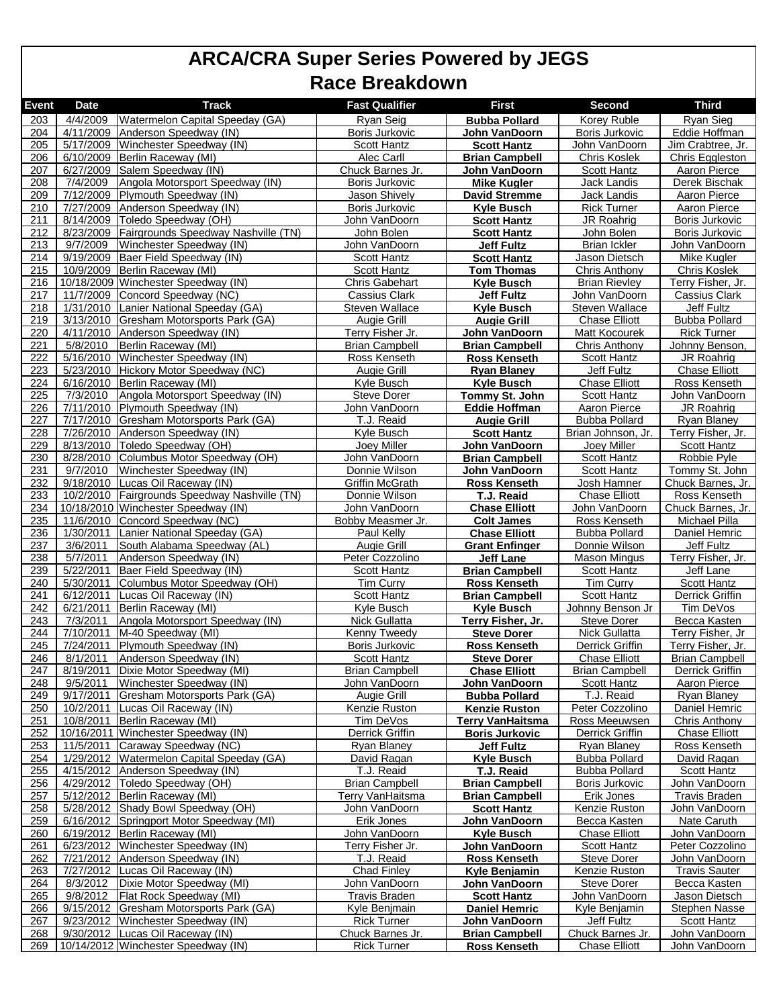| Event            | <b>Date</b>            | <b>Track</b>                                                  | <b>Fast Qualifier</b>                   | <b>First</b>                                 | Second                                  | <b>Third</b>                            |
|------------------|------------------------|---------------------------------------------------------------|-----------------------------------------|----------------------------------------------|-----------------------------------------|-----------------------------------------|
| 203              | 4/4/2009               | Watermelon Capital Speeday (GA)                               | Ryan Seig                               | <b>Bubba Pollard</b>                         | Korey Ruble                             | <b>Ryan Sieg</b>                        |
| 204              | 4/11/2009              | Anderson Speedway (IN)                                        | Boris Jurkovic                          | John VanDoorn                                | Boris Jurkovic                          | Eddie Hoffman                           |
| 205              | 5/17/2009              | Winchester Speedway (IN)                                      | Scott Hantz                             | <b>Scott Hantz</b>                           | John VanDoorn                           | Jim Crabtree, Jr.                       |
| 206              | 6/10/2009              | Berlin Raceway (MI)                                           | Alec Carll                              | <b>Brian Campbell</b>                        | <b>Chris Koslek</b>                     | <b>Chris Eggleston</b>                  |
| 207              | 6/27/2009              | Salem Speedway (IN)                                           | Chuck Barnes Jr.                        | John VanDoorn                                | <b>Scott Hantz</b>                      | <b>Aaron Pierce</b>                     |
| 208              | 7/4/2009               | Angola Motorsport Speedway (IN)                               | Boris Jurkovic                          | <b>Mike Kugler</b>                           | Jack Landis                             | Derek Bischak                           |
| 209              | 7/12/2009              | Plymouth Speedway (IN)                                        | Jason Shively                           | <b>David Stremme</b>                         | Jack Landis                             | Aaron Pierce                            |
| 210              | 7/27/2009              | Anderson Speedway (IN)                                        | <b>Boris Jurkovic</b>                   | <b>Kyle Busch</b>                            | <b>Rick Turner</b>                      | Aaron Pierce                            |
| 211<br>212       | 8/14/2009<br>8/23/2009 | Toledo Speedway (OH)<br>Fairgrounds Speedway Nashville (TN)   | John VanDoorn<br>John Bolen             | <b>Scott Hantz</b><br><b>Scott Hantz</b>     | JR Roahrig<br>John Bolen                | <b>Boris Jurkovic</b><br>Boris Jurkovic |
| 213              | 9/7/2009               | Winchester Speedway (IN)                                      | John VanDoorn                           | <b>Jeff Fultz</b>                            | <b>Brian Ickler</b>                     | John VanDoorn                           |
| 214              | 9/19/2009              | Baer Field Speedway (IN)                                      | <b>Scott Hantz</b>                      | <b>Scott Hantz</b>                           | Jason Dietsch                           | Mike Kugler                             |
| 215              | 10/9/2009              | Berlin Raceway (MI)                                           | <b>Scott Hantz</b>                      | <b>Tom Thomas</b>                            | <b>Chris Anthony</b>                    | <b>Chris Koslek</b>                     |
| 216              |                        | 10/18/2009 Winchester Speedway (IN)                           | <b>Chris Gabehart</b>                   | <b>Kyle Busch</b>                            | <b>Brian Rievley</b>                    | Terry Fisher, Jr.                       |
| $\overline{217}$ | 11/7/2009              | Concord Speedway (NC)                                         | Cassius Clark                           | <b>Jeff Fultz</b>                            | John VanDoorn                           | <b>Cassius Clark</b>                    |
| 218              | 1/31/2010              | Lanier National Speeday (GA)                                  | Steven Wallace                          | <b>Kyle Busch</b>                            | Steven Wallace                          | <b>Jeff Fultz</b>                       |
| 219              | 3/13/2010              | Gresham Motorsports Park (GA)                                 | <b>Augie Grill</b>                      | <b>Augie Grill</b>                           | <b>Chase Elliott</b>                    | Bubba Pollard                           |
| 220              | 4/11/2010              | Anderson Speedway (IN)                                        | Terry Fisher Jr.                        | John VanDoorn                                | Matt Kocourek                           | <b>Rick Turner</b>                      |
| 221<br>222       | 5/8/2010<br>5/16/2010  | Berlin Raceway (MI)<br>Winchester Speedway (IN)               | <b>Brian Campbell</b><br>Ross Kenseth   | <b>Brian Campbell</b><br><b>Ross Kenseth</b> | Chris Anthony<br><b>Scott Hantz</b>     | Johnny Benson<br>JR Roahrig             |
| 223              | 5/23/2010              | Hickory Motor Speedway (NC)                                   | Augie Grill                             | <b>Rvan Blanev</b>                           | <b>Jeff Fultz</b>                       | <b>Chase Elliott</b>                    |
| 224              | 6/16/2010              | Berlin Raceway (MI)                                           | Kyle Busch                              | <b>Kyle Busch</b>                            | <b>Chase Elliott</b>                    | Ross Kenseth                            |
| 225              | 7/3/2010               | Angola Motorsport Speedway (IN)                               | Steve Dorer                             | Tommy St. John                               | Scott Hantz                             | John VanDoorn                           |
| 226              | 7/11/2010              | Plymouth Speedway (IN)                                        | John VanDoorn                           | Eddie Hoffman                                | Aaron Pierce                            | JR Roahrig                              |
| 227              | 7/17/2010              | <b>Gresham Motorsports Park (GA)</b>                          | T.J. Reaid                              | <b>Augie Grill</b>                           | <b>Bubba Pollard</b>                    | <b>Ryan Blaney</b>                      |
| 228              | 7/26/2010              | Anderson Speedway (IN)                                        | Kyle Busch                              | <b>Scott Hantz</b>                           | Brian Johnson, Jr.                      | Terry Fisher, Jr.                       |
| 229              | 8/13/2010              | Toledo Speedway (OH)                                          | Joey Miller                             | John VanDoorn                                | Joey Miller                             | Scott Hantz                             |
| 230              | 8/28/2010              | Columbus Motor Speedway (OH)                                  | John VanDoorn                           | <b>Brian Campbell</b>                        | Scott Hantz                             | Robbie Pyle                             |
| 231              | 9/7/2010               | Winchester Speedway (IN)                                      | Donnie Wilson                           | John VanDoorn                                | <b>Scott Hantz</b>                      | Tommy St. John                          |
| 232<br>233       | 9/18/2010<br>10/2/2010 | Lucas Oil Raceway (IN)<br>Fairgrounds Speedway Nashville (TN) | <b>Griffin McGrath</b><br>Donnie Wilson | <b>Ross Kenseth</b><br>T.J. Reaid            | Josh Hamner<br><b>Chase Elliott</b>     | Chuck Barnes, Jr.<br>Ross Kenseth       |
| 234              |                        | 10/18/2010 Winchester Speedway (IN)                           | John VanDoorn                           | <b>Chase Elliott</b>                         | John VanDoorn                           | Chuck Barnes, Jr.                       |
| 235              | 11/6/2010              | Concord Speedway (NC)                                         | Bobby Measmer Jr.                       | <b>Colt James</b>                            | Ross Kenseth                            | Michael Pilla                           |
| 236              | 1/30/2011              | Lanier National Speeday (GA)                                  | Paul Kelly                              | <b>Chase Elliott</b>                         | <b>Bubba Pollard</b>                    | Daniel Hemric                           |
| 237              | 3/6/2011               | South Alabama Speedway (AL)                                   | Augie Grill                             | <b>Grant Enfinger</b>                        | Donnie Wilson                           | Jeff Fultz                              |
| 238              | 5/7/2011               | Anderson Speedway (IN)                                        | Peter Cozzolino                         | <b>Jeff Lane</b>                             | <b>Mason Mingus</b>                     | Terry Fisher, Jr.                       |
| 239              | 5/22/2011              | Baer Field Speedway (IN)                                      | <b>Scott Hantz</b>                      | <b>Brian Campbell</b>                        | <b>Scott Hantz</b>                      | Jeff Lane                               |
| 240              | 5/30/2011              | Columbus Motor Speedway (OH)                                  | <b>Tim Curry</b>                        | <b>Ross Kenseth</b>                          | <b>Tim Curry</b>                        | <b>Scott Hantz</b>                      |
| 241<br>242       | 6/12/2011<br>6/21/2011 | Lucas Oil Raceway (IN)<br>Berlin Raceway (MI)                 | Scott Hantz<br>Kyle Busch               | <b>Brian Campbell</b>                        | Scott Hantz<br>Johnny Benson Jr         | <b>Derrick Griffin</b><br>Tim DeVos     |
| 243              | 7/3/2011               | Angola Motorsport Speedway (IN)                               | Nick Gullatta                           | <b>Kyle Busch</b><br>Terry Fisher, Jr.       | <b>Steve Dorer</b>                      | Becca Kasten                            |
| 244              | $\frac{1}{7}$ 10/2011  | M-40 Speedway (MI)                                            | Kenny Tweedy                            | <b>Steve Dorer</b>                           | <b>Nick Gullatta</b>                    | Terry Fisher, Jr                        |
| 245              | 7/24/2011              | Plymouth Speedway (IN)                                        | <b>Boris Jurkovic</b>                   | <b>Ross Kenseth</b>                          | Derrick Griffin                         | Terry Fisher, Jr.                       |
| 246              | 8/1/2011               | Anderson Speedway (IN)                                        | Scott Hantz                             | <b>Steve Dorer</b>                           | <b>Chase Elliott</b>                    | <b>Brian Campbell</b>                   |
| 247              |                        | 8/19/2011   Dixie Motor Speedway (MI)                         | <b>Brian Campbell</b>                   | <b>Chase Elliott</b>                         | <b>Brian Campbell</b>                   | <b>Derrick Griffin</b>                  |
| 248              | 9/5/2011               | Winchester Speedway (IN)                                      | John VanDoorn                           | John VanDoorn                                | Scott Hantz                             | Aaron Pierce                            |
| 249              | 9/17/2011              | Gresham Motorsports Park (GA)                                 | Augie Grill                             | <b>Bubba Pollard</b>                         | T.J. Reaid                              | <b>Ryan Blaney</b>                      |
| 250              | 10/2/2011              | Lucas Oil Raceway (IN)                                        | Kenzie Ruston                           | <b>Kenzie Ruston</b>                         | Peter Cozzolino                         | Daniel Hemric                           |
| 251<br>252       | 10/8/2011              | Berlin Raceway (MI)<br>10/16/2011 Winchester Speedway (IN)    | Tim DeVos<br><b>Derrick Griffin</b>     | Terry VanHaitsma                             | Ross Meeuwsen<br><b>Derrick Griffin</b> | Chris Anthony<br><b>Chase Elliott</b>   |
| 253              | 11/5/2011              | Caraway Speedway (NC)                                         | Ryan Blaney                             | <b>Boris Jurkovic</b><br>Jeff Fultz          | Ryan Blaney                             | Ross Kenseth                            |
| 254              |                        | 1/29/2012   Watermelon Capital Speeday (GA)                   | David Ragan                             | <b>Kyle Busch</b>                            | <b>Bubba Pollard</b>                    | David Ragan                             |
| 255              | 4/15/2012              | Anderson Speedway (IN)                                        | T.J. Reaid                              | T.J. Reaid                                   | <b>Bubba Pollard</b>                    | Scott Hantz                             |
| 256              |                        | 4/29/2012 Toledo Speedway (OH)                                | <b>Brian Campbell</b>                   | <b>Brian Campbell</b>                        | Boris Jurkovic                          | John VanDoorn                           |
| 257              | 5/12/2012              | Berlin Raceway (MI)                                           | Terry VanHaitsma                        | <b>Brian Campbell</b>                        | Erik Jones                              | <b>Travis Braden</b>                    |
| 258              | 5/28/2012              | Shady Bowl Speedway (OH)                                      | John VanDoorn                           | <b>Scott Hantz</b>                           | Kenzie Ruston                           | John VanDoorn                           |
| 259              | 6/16/2012              | Springport Motor Speedway (MI)                                | Erik Jones                              | John VanDoorn                                | Becca Kasten                            | Nate Caruth                             |
| 260              |                        | 6/19/2012 Berlin Raceway (MI)                                 | John VanDoorn                           | <b>Kyle Busch</b>                            | <b>Chase Elliott</b>                    | John VanDoorn                           |
| 261              | 6/23/2012<br>7/21/2012 | Winchester Speedway (IN)<br>Anderson Speedway (IN)            | Terry Fisher Jr.<br>T.J. Reaid          | John VanDoorn<br><b>Ross Kenseth</b>         | Scott Hantz<br><b>Steve Dorer</b>       | Peter Cozzolino<br>John VanDoorn        |
| 262<br>263       | 7/27/2012              | Lucas Oil Raceway (IN)                                        | <b>Chad Finley</b>                      | Kyle Benjamin                                | Kenzie Ruston                           | <b>Travis Sauter</b>                    |
| 264              | 8/3/2012               | Dixie Motor Speedway (MI)                                     | John VanDoorn                           | John VanDoorn                                | Steve Dorer                             | Becca Kasten                            |
| 265              | 9/8/2012               | Flat Rock Speedway (MI)                                       | <b>Travis Braden</b>                    | <b>Scott Hantz</b>                           | John VanDoorn                           | Jason Dietsch                           |
| 266              | 9/15/2012              | Gresham Motorsports Park (GA)                                 | Kyle Benjmain                           | <b>Daniel Hemric</b>                         | Kyle Benjamin                           | <b>Stephen Nasse</b>                    |
| 267              | 9/23/2012              | Winchester Speedway (IN)                                      | Rick Turner                             | John VanDoorn                                | Jeff Fultz                              | Scott Hantz                             |
| 268              |                        | 9/30/2012 Lucas Oil Raceway (IN)                              | Chuck Barnes Jr.                        | <b>Brian Campbell</b>                        | Chuck Barnes Jr.                        | John VanDoorn                           |
| 269              |                        | 10/14/2012 Winchester Speedway (IN)                           | <b>Rick Turner</b>                      | <b>Ross Kenseth</b>                          | <b>Chase Elliott</b>                    | John VanDoorn                           |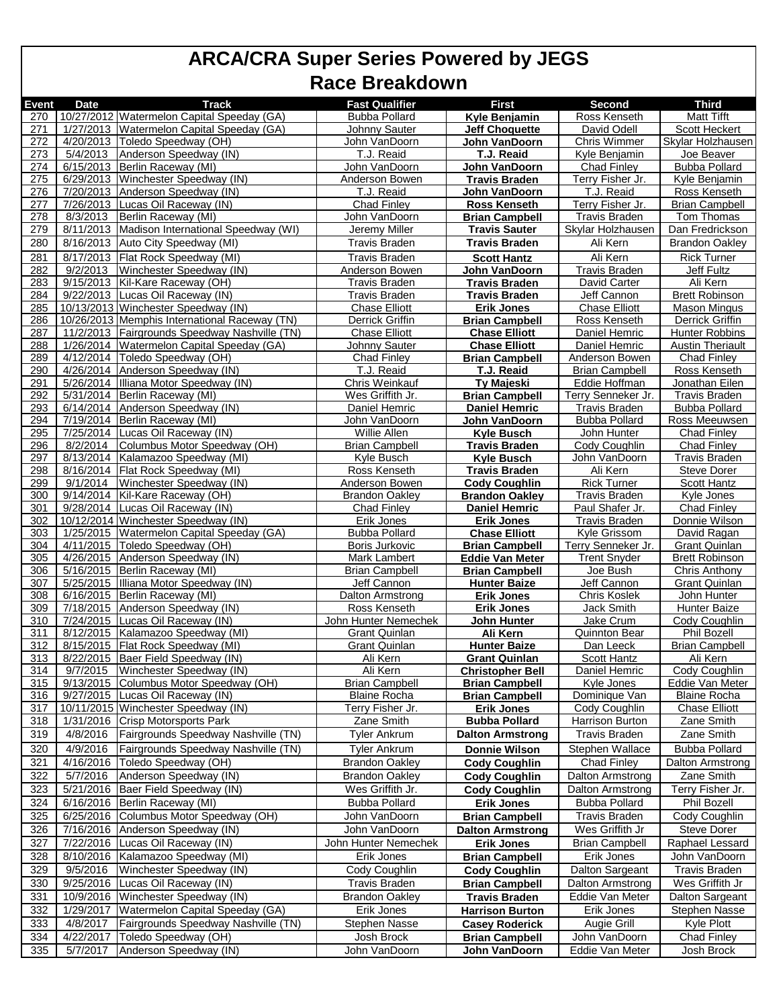| <b>Event</b> | <b>Date</b>       | <b>Track</b>                                  | <b>Fast Qualifier</b>   | <b>First</b>            | <b>Second</b>         | <b>Third</b>            |
|--------------|-------------------|-----------------------------------------------|-------------------------|-------------------------|-----------------------|-------------------------|
| 270          |                   | 10/27/2012 Watermelon Capital Speeday (GA)    | <b>Bubba Pollard</b>    | Kyle Benjamin           | Ross Kenseth          | <b>Matt Tifft</b>       |
| 271          |                   | 1/27/2013 Watermelon Capital Speeday (GA)     | <b>Johnny Sauter</b>    | <b>Jeff Choauette</b>   | David Odell           | <b>Scott Heckert</b>    |
| 272          |                   | 4/20/2013   Toledo Speedway (OH)              | John VanDoorn           | John VanDoorn           | Chris Wimmer          | Skylar Holzhausen       |
| 273          | 5/4/2013          | Anderson Speedway (IN)                        | T.J. Reaid              | T.J. Reaid              | Kyle Benjamin         | Joe Beaver              |
| 274          |                   | 6/15/2013 Berlin Raceway (MI)                 | John VanDoorn           | John VanDoorn           | Chad Finley           | <b>Bubba Pollard</b>    |
| 275          |                   | 6/29/2013 Winchester Speedway (IN)            | Anderson Bowen          | <b>Travis Braden</b>    | Terry Fisher Jr.      | Kyle Benjamin           |
| 276          |                   | 7/20/2013 Anderson Speedway (IN)              | T.J. Reaid              | John VanDoorn           | T.J. Reaid            | Ross Kenseth            |
| 277          |                   | 7/26/2013 Lucas Oil Raceway (IN)              | <b>Chad Finley</b>      | <b>Ross Kenseth</b>     | Terry Fisher Jr.      | <b>Brian Campbell</b>   |
| 278          | $\sqrt{8}/3/2013$ | Berlin Raceway (MI)                           | John VanDoorn           | <b>Brian Campbell</b>   | Travis Braden         | Tom Thomas              |
| 279          | 8/11/2013         | Madison International Speedway (WI)           | Jeremy Miller           | <b>Travis Sauter</b>    | Skylar Holzhausen     | Dan Fredrickson         |
| 280          |                   | 8/16/2013 Auto City Speedway (MI)             | <b>Travis Braden</b>    | <b>Travis Braden</b>    | Ali Kern              | <b>Brandon Oakley</b>   |
|              |                   |                                               |                         |                         |                       |                         |
| 281          | 8/17/2013         | Flat Rock Speedway (MI)                       | <b>Travis Braden</b>    | <b>Scott Hantz</b>      | Ali Kern              | <b>Rick Turner</b>      |
| 282          | 9/2/2013          | Winchester Speedway (IN)                      | Anderson Bowen          | John VanDoorn           | Travis Braden         | Jeff Fultz              |
| 283          | 9/15/2013         | Kil-Kare Raceway (OH)                         | <b>Travis Braden</b>    | <b>Travis Braden</b>    | David Carter          | Ali Kern                |
| 284          |                   | 9/22/2013 Lucas Oil Raceway (IN)              | Travis Braden           | <b>Travis Braden</b>    | Jeff Cannon           | <b>Brett Robinson</b>   |
| 285          |                   | 10/13/2013 Winchester Speedway (IN)           | <b>Chase Elliott</b>    | Erik Jones              | <b>Chase Elliott</b>  | Mason Mingus            |
| 286          |                   | 10/26/2013 Memphis International Raceway (TN) | Derrick Griffin         | <b>Brian Campbell</b>   | Ross Kenseth          | Derrick Griffin         |
| 287          |                   | 11/2/2013 Fairgrounds Speedway Nashville (TN) | <b>Chase Elliott</b>    | <b>Chase Elliott</b>    | Daniel Hemric         | <b>Hunter Robbins</b>   |
| 288          |                   | 1/26/2014 Watermelon Capital Speeday (GA)     | <b>Johnny Sauter</b>    | <b>Chase Elliott</b>    | Daniel Hemric         | <b>Austin Theriault</b> |
| 289          |                   | 4/12/2014   Toledo Speedway (OH)              | <b>Chad Finley</b>      | <b>Brian Campbell</b>   | Anderson Bowen        | <b>Chad Finley</b>      |
| 290          |                   | 4/26/2014 Anderson Speedway (IN)              | T.J. Reaid              | T.J. Reaid              | <b>Brian Campbell</b> | Ross Kenseth            |
| 291          |                   | 5/26/2014 Illiana Motor Speedway (IN)         | Chris Weinkauf          | <b>Ty Majeski</b>       | Eddie Hoffman         | Jonathan Eilen          |
| 292          |                   | 5/31/2014 Berlin Raceway (MI)                 | Wes Griffith Jr.        | <b>Brian Campbell</b>   | Terry Senneker Jr.    | <b>Travis Braden</b>    |
| 293          | 6/14/2014         | Anderson Speedway (IN)                        | Daniel Hemric           | <b>Daniel Hemric</b>    | <b>Travis Braden</b>  | <b>Bubba Pollard</b>    |
| 294          |                   | 7/19/2014 Berlin Raceway (MI)                 | John VanDoorn           | John VanDoorn           | <b>Bubba Pollard</b>  | Ross Meeuwsen           |
| 295          |                   | 7/25/2014 Lucas Oil Raceway (IN)              |                         |                         |                       |                         |
|              |                   |                                               | Willie Allen            | <b>Kyle Busch</b>       | John Hunter           | <b>Chad Finley</b>      |
| 296          | 8/2/2014          | Columbus Motor Speedway (OH)                  | <b>Brian Campbell</b>   | <b>Travis Braden</b>    | Cody Coughlin         | <b>Chad Finley</b>      |
| 297          |                   | 8/13/2014 Kalamazoo Speedway (MI)             | Kyle Busch              | <b>Kyle Busch</b>       | John VanDoorn         | Travis Braden           |
| 298          | 8/16/2014         | Flat Rock Speedway (MI)                       | Ross Kenseth            | <b>Travis Braden</b>    | Ali Kern              | <b>Steve Dorer</b>      |
| 299          | 9/1/2014          | Winchester Speedway (IN)                      | Anderson Bowen          | <b>Cody Coughlin</b>    | <b>Rick Turner</b>    | <b>Scott Hantz</b>      |
| 300          | 9/14/2014         | Kil-Kare Raceway (OH)                         | <b>Brandon Oakley</b>   | <b>Brandon Oakley</b>   | <b>Travis Braden</b>  | Kyle Jones              |
| 301          | 9/28/2014         | Lucas Oil Raceway (IN)                        | <b>Chad Finley</b>      | Daniel Hemric           | Paul Shafer Jr.       | <b>Chad Finley</b>      |
| 302          |                   | 10/12/2014 Winchester Speedway (IN)           | Erik Jones              | <b>Erik Jones</b>       | <b>Travis Braden</b>  | Donnie Wilson           |
| 303          |                   | 1/25/2015 Watermelon Capital Speeday (GA)     | <b>Bubba Pollard</b>    | <b>Chase Elliott</b>    | Kyle Grissom          | David Ragan             |
| 304          |                   | 4/11/2015   Toledo Speedway (OH)              | Boris Jurkovic          | <b>Brian Campbell</b>   | Terry Senneker Jr.    | <b>Grant Quinlan</b>    |
| 305          |                   | 4/26/2015 Anderson Speedway (IN)              | Mark Lambert            | <b>Eddie Van Meter</b>  | <b>Trent Snyder</b>   | <b>Brett Robinson</b>   |
| 306          |                   | 5/16/2015 Berlin Raceway (MI)                 | <b>Brian Campbell</b>   | <b>Brian Campbell</b>   | Joe Bush              | Chris Anthony           |
| 307          |                   | 5/25/2015 Illiana Motor Speedway (IN)         | Jeff Cannon             | <b>Hunter Baize</b>     | Jeff Cannon           | Grant Quinlan           |
| 308          |                   | 6/16/2015 Berlin Raceway (MI)                 | Dalton Armstrong        | <b>Erik Jones</b>       | <b>Chris Koslek</b>   | John Hunter             |
| 309          |                   | 7/18/2015 Anderson Speedway (IN)              | Ross Kenseth            | <b>Erik Jones</b>       | Jack Smith            | <b>Hunter Baize</b>     |
| 310          | 7/24/2015         | Lucas Oil Raceway (IN)                        | John Hunter Nemechek    | John Hunter             | Jake Crum             | Cody Coughlin           |
| 311          |                   | 8/12/2015 Kalamazoo Speedway (MI)             | <b>Grant Quinlan</b>    | Ali Kern                | <b>Quinnton Bear</b>  | <b>Phil Bozell</b>      |
| 312          |                   | 8/15/2015   Flat Rock Speedway (MI)           | Grant Quinlan           | <b>Hunter Baize</b>     | Dan Leeck             | <b>Brian Campbell</b>   |
| 313          |                   | 8/22/2015 Baer Field Speedway (IN)            | Ali Kern                | <b>Grant Quinlan</b>    | <b>Scott Hantz</b>    | Ali Kern                |
| 314          | 9/7/2015          | Winchester Speedway (IN)                      | Ali Kern                | <b>Christopher Bell</b> | Daniel Hemric         | Cody Coughlin           |
|              | 9/13/2015         |                                               |                         |                         | Kyle Jones            | Eddie Van Meter         |
| 315          |                   | Columbus Motor Speedway (OH)                  | <b>Brian Campbell</b>   | <b>Brian Campbell</b>   |                       |                         |
| 316          |                   | 9/27/2015 Lucas Oil Raceway (IN)              | <b>Blaine Rocha</b>     | <b>Brian Campbell</b>   | Dominique Van         | Blaine Rocha            |
| 317          |                   | 10/11/2015 Winchester Speedway (IN)           | <u>Terry Fisher Jr.</u> | <b>Erik Jones</b>       | Cody Coughlin         | <b>Chase Elliott</b>    |
| 318          | 1/31/2016         | <b>Crisp Motorsports Park</b>                 | Zane Smith              | <b>Bubba Pollard</b>    | Harrison Burton       | Zane Smith              |
| 319          | 4/8/2016          | Fairgrounds Speedway Nashville (TN)           | <b>Tyler Ankrum</b>     | <b>Dalton Armstrong</b> | Travis Braden         | Zane Smith              |
| 320          | 4/9/2016          | Fairgrounds Speedway Nashville (TN)           | <b>Tyler Ankrum</b>     | <b>Donnie Wilson</b>    | Stephen Wallace       | <b>Bubba Pollard</b>    |
| 321          | 4/16/2016         | Toledo Speedway (OH)                          | <b>Brandon Oakley</b>   | <b>Cody Coughlin</b>    | <b>Chad Finley</b>    | Dalton Armstrong        |
| 322          | 5/7/2016          | Anderson Speedway (IN)                        | <b>Brandon Oakley</b>   | <b>Cody Coughlin</b>    | Dalton Armstrong      | Zane Smith              |
| 323          | 5/21/2016         | Baer Field Speedway (IN)                      | Wes Griffith Jr.        | <b>Cody Coughlin</b>    | Dalton Armstrong      | Terry Fisher Jr.        |
|              |                   |                                               |                         |                         |                       |                         |
| 324          | 6/16/2016         | Berlin Raceway (MI)                           | <b>Bubba Pollard</b>    | <b>Erik Jones</b>       | <b>Bubba Pollard</b>  | Phil Bozell             |
| 325          | 6/25/2016         | Columbus Motor Speedway (OH)                  | John VanDoorn           | <b>Brian Campbell</b>   | Travis Braden         | Cody Coughlin           |
| 326          | 7/16/2016         | Anderson Speedway (IN)                        | John VanDoorn           | <b>Dalton Armstrong</b> | Wes Griffith Jr       | Steve Dorer             |
| 327          | 7/22/2016         | Lucas Oil Raceway (IN)                        | John Hunter Nemechek    | <b>Erik Jones</b>       | <b>Brian Campbell</b> | Raphael Lessard         |
| 328          | 8/10/2016         | Kalamazoo Speedway (MI)                       | Erik Jones              | <b>Brian Campbell</b>   | Erik Jones            | John VanDoorn           |
| 329          | 9/5/2016          | Winchester Speedway (IN)                      | Cody Coughlin           | <b>Cody Coughlin</b>    | Dalton Sargeant       | <b>Travis Braden</b>    |
| 330          | 9/25/2016         | Lucas Oil Raceway (IN)                        | Travis Braden           | <b>Brian Campbell</b>   | Dalton Armstrong      | Wes Griffith Jr         |
|              |                   |                                               |                         |                         |                       |                         |
| 331          | 10/9/2016         | Winchester Speedway (IN)                      | <b>Brandon Oakley</b>   | <b>Travis Braden</b>    | Eddie Van Meter       | Dalton Sargeant         |
| 332          | 1/29/2017         | Watermelon Capital Speeday (GA)               | Erik Jones              | <b>Harrison Burton</b>  | Erik Jones            | <b>Stephen Nasse</b>    |
| 333          | 4/8/2017          | Fairgrounds Speedway Nashville (TN)           | <b>Stephen Nasse</b>    | <b>Casey Roderick</b>   | Augie Grill           | Kyle Plott              |
| 334          | 4/22/2017         | Toledo Speedway (OH)                          | Josh Brock              | <b>Brian Campbell</b>   | John VanDoorn         | <b>Chad Finley</b>      |
| 335          | 5/7/2017          | Anderson Speedway (IN)                        | John VanDoorn           | John VanDoorn           | Eddie Van Meter       | Josh Brock              |